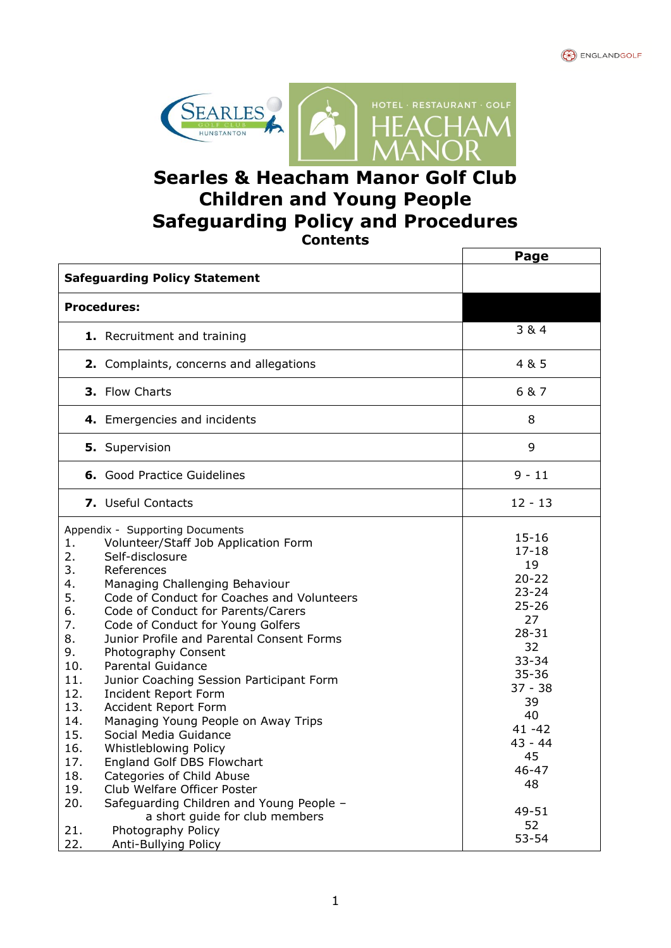



# **Searles & Heacham Manor Golf Club Children and Young People Safeguarding Policy and Procedures Contents**

|                                                                                                                                                                                                                                                                                                                                                                                                                                                                                                                                                                                                                                                                                                                                                                                                                                   | Page                                                                                                                                                                                                    |
|-----------------------------------------------------------------------------------------------------------------------------------------------------------------------------------------------------------------------------------------------------------------------------------------------------------------------------------------------------------------------------------------------------------------------------------------------------------------------------------------------------------------------------------------------------------------------------------------------------------------------------------------------------------------------------------------------------------------------------------------------------------------------------------------------------------------------------------|---------------------------------------------------------------------------------------------------------------------------------------------------------------------------------------------------------|
| <b>Safeguarding Policy Statement</b>                                                                                                                                                                                                                                                                                                                                                                                                                                                                                                                                                                                                                                                                                                                                                                                              |                                                                                                                                                                                                         |
| <b>Procedures:</b>                                                                                                                                                                                                                                                                                                                                                                                                                                                                                                                                                                                                                                                                                                                                                                                                                |                                                                                                                                                                                                         |
| 1. Recruitment and training                                                                                                                                                                                                                                                                                                                                                                                                                                                                                                                                                                                                                                                                                                                                                                                                       | 3 & 4                                                                                                                                                                                                   |
| 2. Complaints, concerns and allegations                                                                                                                                                                                                                                                                                                                                                                                                                                                                                                                                                                                                                                                                                                                                                                                           | 4 & 5                                                                                                                                                                                                   |
| 3. Flow Charts                                                                                                                                                                                                                                                                                                                                                                                                                                                                                                                                                                                                                                                                                                                                                                                                                    | 6 & 7                                                                                                                                                                                                   |
| 4. Emergencies and incidents                                                                                                                                                                                                                                                                                                                                                                                                                                                                                                                                                                                                                                                                                                                                                                                                      | 8                                                                                                                                                                                                       |
| 5. Supervision                                                                                                                                                                                                                                                                                                                                                                                                                                                                                                                                                                                                                                                                                                                                                                                                                    | 9                                                                                                                                                                                                       |
| <b>6.</b> Good Practice Guidelines                                                                                                                                                                                                                                                                                                                                                                                                                                                                                                                                                                                                                                                                                                                                                                                                | $9 - 11$                                                                                                                                                                                                |
| 7. Useful Contacts                                                                                                                                                                                                                                                                                                                                                                                                                                                                                                                                                                                                                                                                                                                                                                                                                | $12 - 13$                                                                                                                                                                                               |
| Appendix - Supporting Documents<br>Volunteer/Staff Job Application Form<br>1.<br>2.<br>Self-disclosure<br>3.<br>References<br>Managing Challenging Behaviour<br>4.<br>5.<br>Code of Conduct for Coaches and Volunteers<br>Code of Conduct for Parents/Carers<br>6.<br>7.<br>Code of Conduct for Young Golfers<br>8.<br>Junior Profile and Parental Consent Forms<br>9.<br>Photography Consent<br>10.<br><b>Parental Guidance</b><br>11.<br>Junior Coaching Session Participant Form<br>12.<br>Incident Report Form<br>13.<br>Accident Report Form<br>14.<br>Managing Young People on Away Trips<br>Social Media Guidance<br>15.<br>16.<br>Whistleblowing Policy<br>17.<br>England Golf DBS Flowchart<br>18.<br>Categories of Child Abuse<br>19.<br>Club Welfare Officer Poster<br>20.<br>Safeguarding Children and Young People - | $15 - 16$<br>$17 - 18$<br>19<br>$20 - 22$<br>$23 - 24$<br>$25 - 26$<br>27<br>$28 - 31$<br>32<br>$33 - 34$<br>$35 - 36$<br>$37 - 38$<br>39<br>40<br>$41 - 42$<br>$43 - 44$<br>45<br>46-47<br>48<br>49-51 |
| a short guide for club members<br>21.<br>Photography Policy<br>22.<br>Anti-Bullying Policy                                                                                                                                                                                                                                                                                                                                                                                                                                                                                                                                                                                                                                                                                                                                        | 52<br>$53 - 54$                                                                                                                                                                                         |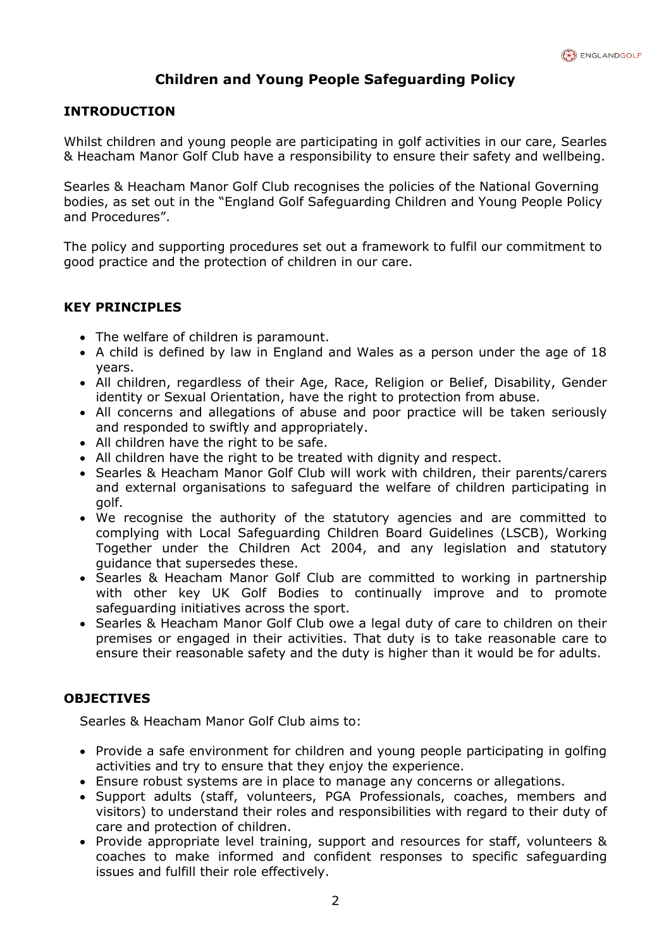# **Children and Young People Safeguarding Policy**

# **INTRODUCTION**

Whilst children and young people are participating in golf activities in our care, Searles & Heacham Manor Golf Club have a responsibility to ensure their safety and wellbeing.

Searles & Heacham Manor Golf Club recognises the policies of the National Governing bodies, as set out in the "England Golf Safeguarding Children and Young People Policy and Procedures".

The policy and supporting procedures set out a framework to fulfil our commitment to good practice and the protection of children in our care.

#### **KEY PRINCIPLES**

- The welfare of children is paramount.
- A child is defined by law in England and Wales as a person under the age of 18 years.
- All children, regardless of their Age, Race, Religion or Belief, Disability, Gender identity or Sexual Orientation, have the right to protection from abuse.
- All concerns and allegations of abuse and poor practice will be taken seriously and responded to swiftly and appropriately.
- All children have the right to be safe.
- All children have the right to be treated with dignity and respect.
- Searles & Heacham Manor Golf Club will work with children, their parents/carers and external organisations to safeguard the welfare of children participating in golf.
- We recognise the authority of the statutory agencies and are committed to complying with Local Safeguarding Children Board Guidelines (LSCB), Working Together under the Children Act 2004, and any legislation and statutory guidance that supersedes these.
- Searles & Heacham Manor Golf Club are committed to working in partnership with other key UK Golf Bodies to continually improve and to promote safeguarding initiatives across the sport.
- Searles & Heacham Manor Golf Club owe a legal duty of care to children on their premises or engaged in their activities. That duty is to take reasonable care to ensure their reasonable safety and the duty is higher than it would be for adults.

# **OBJECTIVES**

Searles & Heacham Manor Golf Club aims to:

- Provide a safe environment for children and young people participating in golfing activities and try to ensure that they enjoy the experience.
- Ensure robust systems are in place to manage any concerns or allegations.
- Support adults (staff, volunteers, PGA Professionals, coaches, members and visitors) to understand their roles and responsibilities with regard to their duty of care and protection of children.
- Provide appropriate level training, support and resources for staff, volunteers & coaches to make informed and confident responses to specific safeguarding issues and fulfill their role effectively.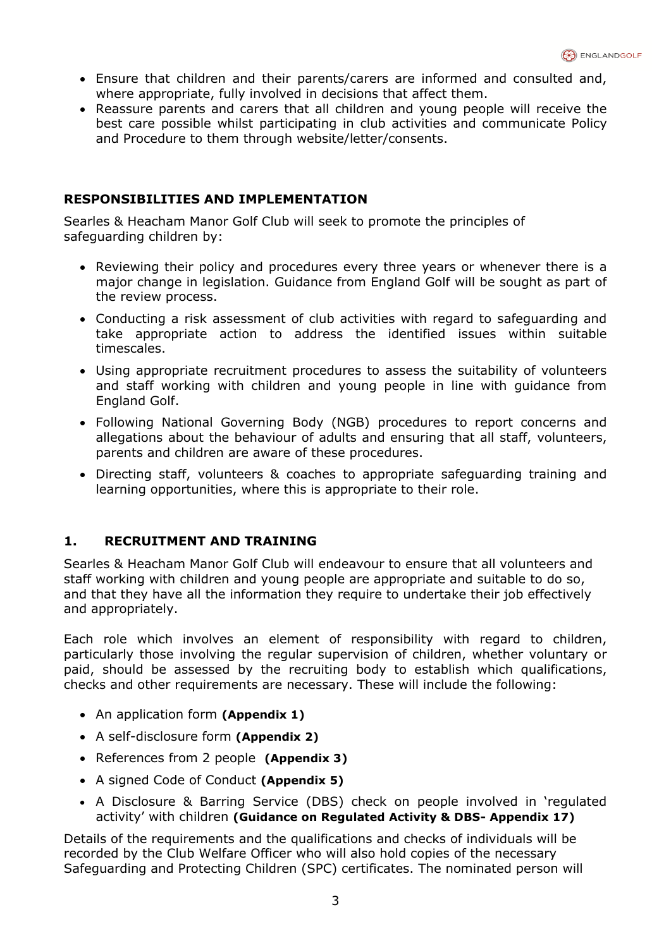- Ensure that children and their parents/carers are informed and consulted and, where appropriate, fully involved in decisions that affect them.
- Reassure parents and carers that all children and young people will receive the best care possible whilst participating in club activities and communicate Policy and Procedure to them through website/letter/consents.

# **RESPONSIBILITIES AND IMPLEMENTATION**

Searles & Heacham Manor Golf Club will seek to promote the principles of safeguarding children by:

- Reviewing their policy and procedures every three years or whenever there is a major change in legislation. Guidance from England Golf will be sought as part of the review process.
- Conducting a risk assessment of club activities with regard to safeguarding and take appropriate action to address the identified issues within suitable timescales.
- Using appropriate recruitment procedures to assess the suitability of volunteers and staff working with children and young people in line with guidance from England Golf.
- Following National Governing Body (NGB) procedures to report concerns and allegations about the behaviour of adults and ensuring that all staff, volunteers, parents and children are aware of these procedures.
- Directing staff, volunteers & coaches to appropriate safeguarding training and learning opportunities, where this is appropriate to their role.

# **1. RECRUITMENT AND TRAINING**

Searles & Heacham Manor Golf Club will endeavour to ensure that all volunteers and staff working with children and young people are appropriate and suitable to do so, and that they have all the information they require to undertake their job effectively and appropriately.

Each role which involves an element of responsibility with regard to children, particularly those involving the regular supervision of children, whether voluntary or paid, should be assessed by the recruiting body to establish which qualifications, checks and other requirements are necessary. These will include the following:

- An application form **(Appendix 1)**
- A self-disclosure form **(Appendix 2)**
- References from 2 people **(Appendix 3)**
- A signed Code of Conduct **(Appendix 5)**
- A Disclosure & Barring Service (DBS) check on people involved in 'regulated activity' with children **(Guidance on Regulated Activity & DBS- Appendix 17)**

Details of the requirements and the qualifications and checks of individuals will be recorded by the Club Welfare Officer who will also hold copies of the necessary Safeguarding and Protecting Children (SPC) certificates. The nominated person will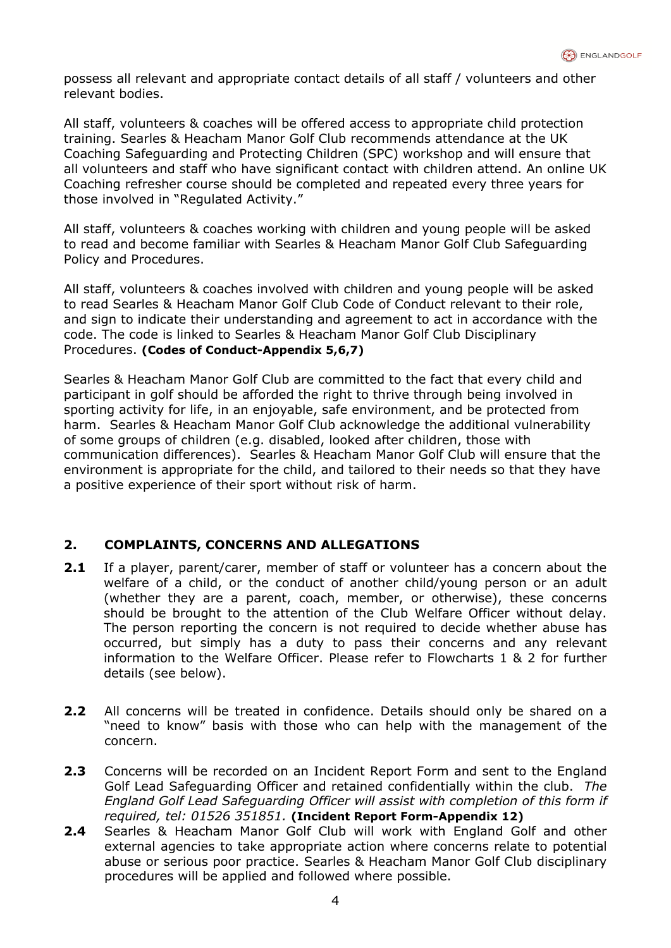possess all relevant and appropriate contact details of all staff / volunteers and other relevant bodies.

All staff, volunteers & coaches will be offered access to appropriate child protection training. Searles & Heacham Manor Golf Club recommends attendance at the UK Coaching Safeguarding and Protecting Children (SPC) workshop and will ensure that all volunteers and staff who have significant contact with children attend. An online UK Coaching refresher course should be completed and repeated every three years for those involved in "Regulated Activity."

All staff, volunteers & coaches working with children and young people will be asked to read and become familiar with Searles & Heacham Manor Golf Club Safeguarding Policy and Procedures.

All staff, volunteers & coaches involved with children and young people will be asked to read Searles & Heacham Manor Golf Club Code of Conduct relevant to their role, and sign to indicate their understanding and agreement to act in accordance with the code. The code is linked to Searles & Heacham Manor Golf Club Disciplinary Procedures. **(Codes of Conduct-Appendix 5,6,7)**

Searles & Heacham Manor Golf Club are committed to the fact that every child and participant in golf should be afforded the right to thrive through being involved in sporting activity for life, in an enjoyable, safe environment, and be protected from harm. Searles & Heacham Manor Golf Club acknowledge the additional vulnerability of some groups of children (e.g. disabled, looked after children, those with communication differences). Searles & Heacham Manor Golf Club will ensure that the environment is appropriate for the child, and tailored to their needs so that they have a positive experience of their sport without risk of harm.

# **2. COMPLAINTS, CONCERNS AND ALLEGATIONS**

- **2.1** If a player, parent/carer, member of staff or volunteer has a concern about the welfare of a child, or the conduct of another child/young person or an adult (whether they are a parent, coach, member, or otherwise), these concerns should be brought to the attention of the Club Welfare Officer without delay. The person reporting the concern is not required to decide whether abuse has occurred, but simply has a duty to pass their concerns and any relevant information to the Welfare Officer. Please refer to Flowcharts 1 & 2 for further details (see below).
- **2.2** All concerns will be treated in confidence. Details should only be shared on a "need to know" basis with those who can help with the management of the concern.
- **2.3** Concerns will be recorded on an Incident Report Form and sent to the England Golf Lead Safeguarding Officer and retained confidentially within the club. *The England Golf Lead Safeguarding Officer will assist with completion of this form if required, tel: 01526 351851.* **(Incident Report Form-Appendix 12)**
- **2.4** Searles & Heacham Manor Golf Club will work with England Golf and other external agencies to take appropriate action where concerns relate to potential abuse or serious poor practice. Searles & Heacham Manor Golf Club disciplinary procedures will be applied and followed where possible.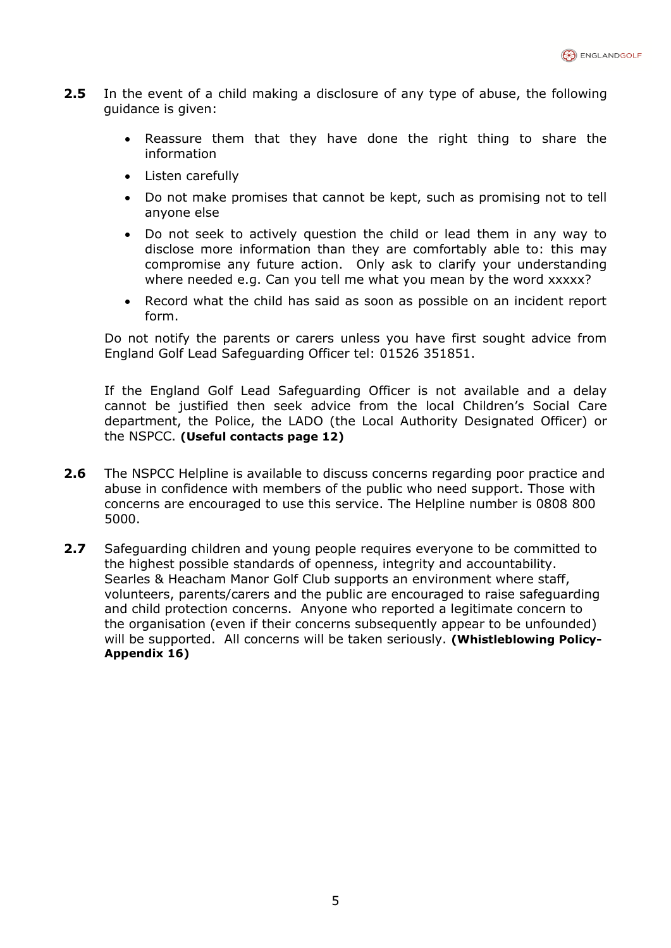- **2.5** In the event of a child making a disclosure of any type of abuse, the following guidance is given:
	- Reassure them that they have done the right thing to share the information
	- Listen carefully
	- Do not make promises that cannot be kept, such as promising not to tell anyone else
	- Do not seek to actively question the child or lead them in any way to disclose more information than they are comfortably able to: this may compromise any future action. Only ask to clarify your understanding where needed e.g. Can you tell me what you mean by the word xxxxx?
	- Record what the child has said as soon as possible on an incident report form.

Do not notify the parents or carers unless you have first sought advice from England Golf Lead Safeguarding Officer tel: 01526 351851.

If the England Golf Lead Safeguarding Officer is not available and a delay cannot be justified then seek advice from the local Children's Social Care department, the Police, the LADO (the Local Authority Designated Officer) or the NSPCC. **(Useful contacts page 12)**

- **2.6** The NSPCC Helpline is available to discuss concerns regarding poor practice and abuse in confidence with members of the public who need support. Those with concerns are encouraged to use this service. The Helpline number is 0808 800 5000.
- **2.7** Safeguarding children and young people requires everyone to be committed to the highest possible standards of openness, integrity and accountability. Searles & Heacham Manor Golf Club supports an environment where staff, volunteers, parents/carers and the public are encouraged to raise safeguarding and child protection concerns. Anyone who reported a legitimate concern to the organisation (even if their concerns subsequently appear to be unfounded) will be supported. All concerns will be taken seriously. **(Whistleblowing Policy-Appendix 16)**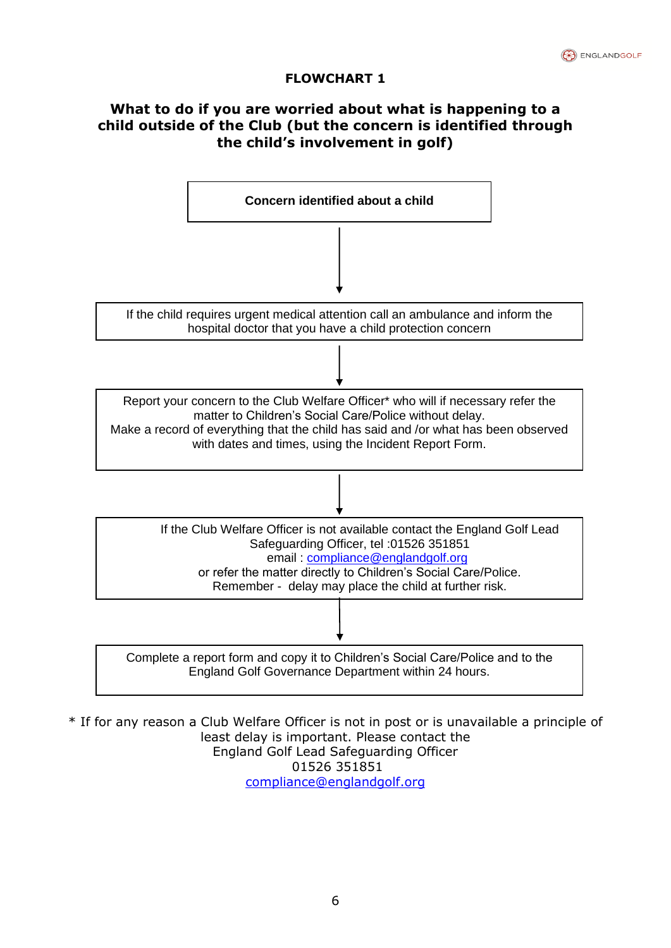# **FLOWCHART 1**

# **What to do if you are worried about what is happening to a child outside of the Club (but the concern is identified through the child's involvement in golf)**



\* If for any reason a Club Welfare Officer is not in post or is unavailable a principle of least delay is important. Please contact the England Golf Lead Safeguarding Officer 01526 351851 [compliance@englandgolf.org](mailto:compliance@englandgolf.org)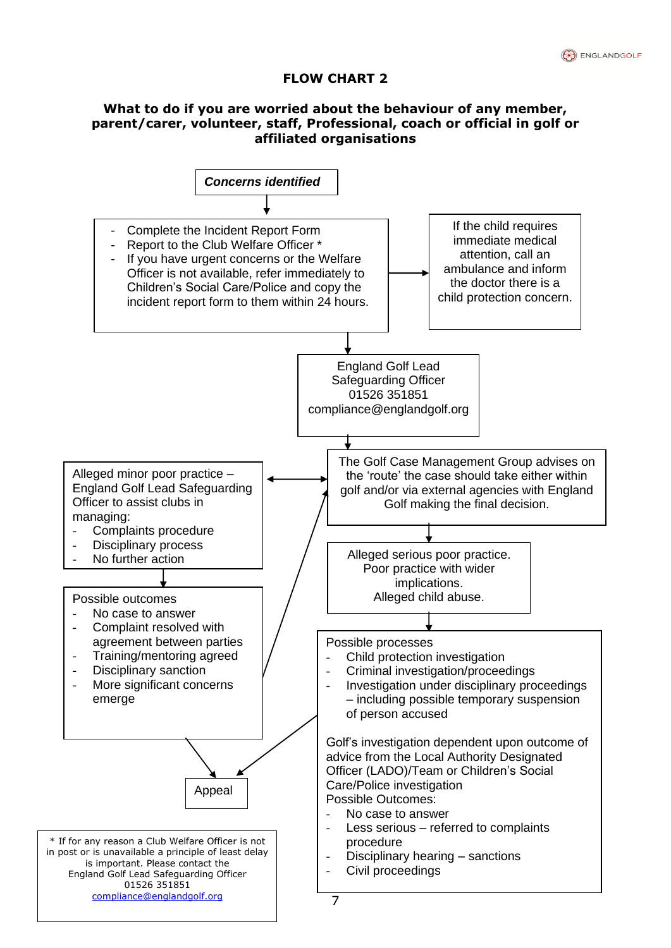# **FLOW CHART 2**

# **What to do if you are worried about the behaviour of any member, parent/carer, volunteer, staff, Professional, coach or official in golf or affiliated organisations**

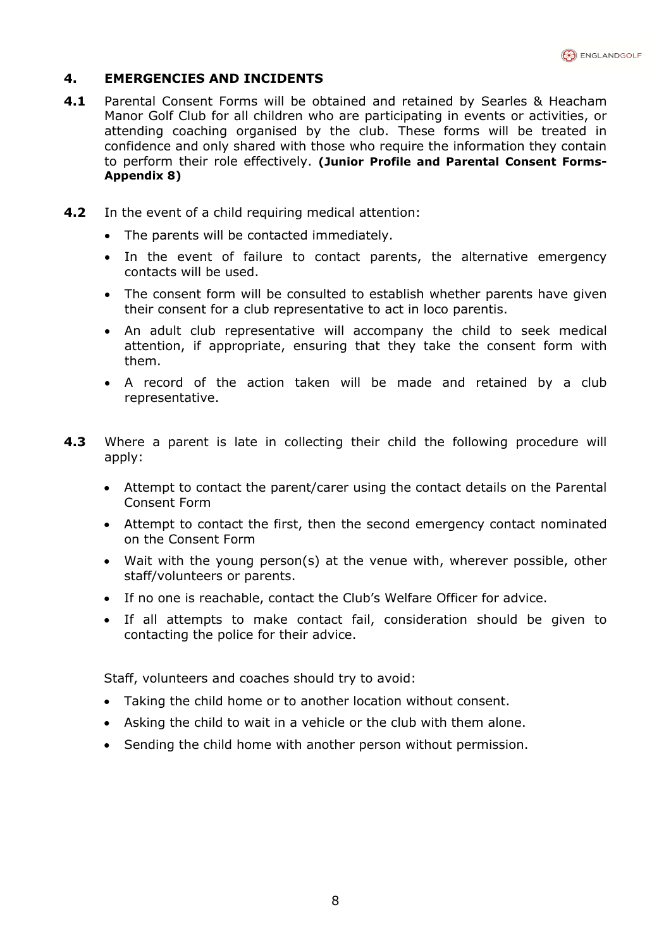

# **4. EMERGENCIES AND INCIDENTS**

- **4.1** Parental Consent Forms will be obtained and retained by Searles & Heacham Manor Golf Club for all children who are participating in events or activities, or attending coaching organised by the club. These forms will be treated in confidence and only shared with those who require the information they contain to perform their role effectively. **(Junior Profile and Parental Consent Forms-Appendix 8)**
- **4.2** In the event of a child requiring medical attention:
	- The parents will be contacted immediately.
	- In the event of failure to contact parents, the alternative emergency contacts will be used.
	- The consent form will be consulted to establish whether parents have given their consent for a club representative to act in loco parentis.
	- An adult club representative will accompany the child to seek medical attention, if appropriate, ensuring that they take the consent form with them.
	- A record of the action taken will be made and retained by a club representative.
- **4.3** Where a parent is late in collecting their child the following procedure will apply:
	- Attempt to contact the parent/carer using the contact details on the Parental Consent Form
	- Attempt to contact the first, then the second emergency contact nominated on the Consent Form
	- Wait with the young person(s) at the venue with, wherever possible, other staff/volunteers or parents.
	- If no one is reachable, contact the Club's Welfare Officer for advice.
	- If all attempts to make contact fail, consideration should be given to contacting the police for their advice.

Staff, volunteers and coaches should try to avoid:

- Taking the child home or to another location without consent.
- Asking the child to wait in a vehicle or the club with them alone.
- Sending the child home with another person without permission.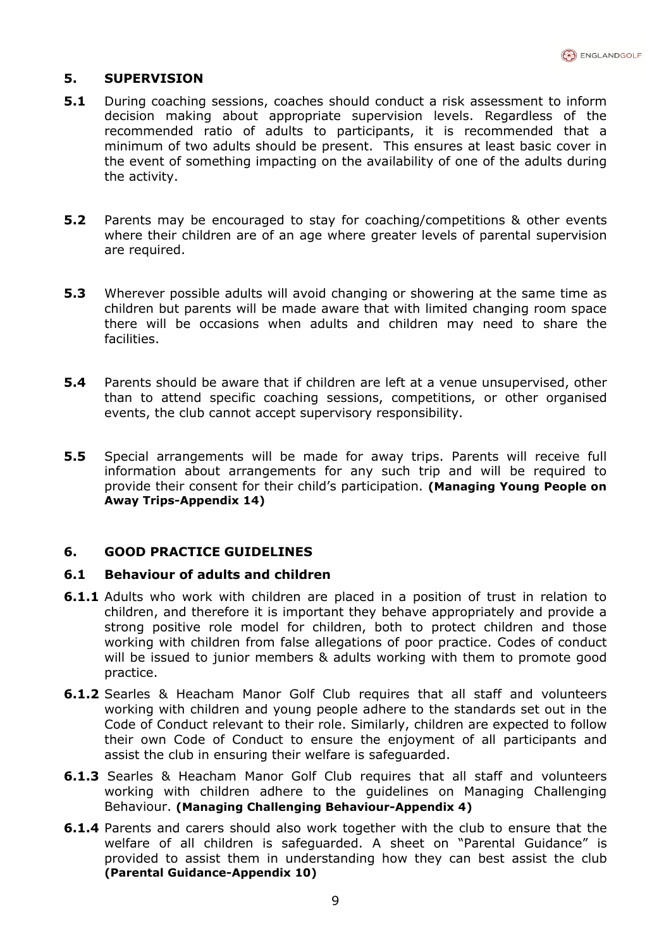

# **5. SUPERVISION**

- **5.1** During coaching sessions, coaches should conduct a risk assessment to inform decision making about appropriate supervision levels. Regardless of the recommended ratio of adults to participants, it is recommended that a minimum of two adults should be present. This ensures at least basic cover in the event of something impacting on the availability of one of the adults during the activity.
- **5.2** Parents may be encouraged to stay for coaching/competitions & other events where their children are of an age where greater levels of parental supervision are required.
- **5.3** Wherever possible adults will avoid changing or showering at the same time as children but parents will be made aware that with limited changing room space there will be occasions when adults and children may need to share the facilities.
- **5.4** Parents should be aware that if children are left at a venue unsupervised, other than to attend specific coaching sessions, competitions, or other organised events, the club cannot accept supervisory responsibility.
- **5.5** Special arrangements will be made for away trips. Parents will receive full information about arrangements for any such trip and will be required to provide their consent for their child's participation. **(Managing Young People on Away Trips-Appendix 14)**

# **6. GOOD PRACTICE GUIDELINES**

#### **6.1 Behaviour of adults and children**

- **6.1.1** Adults who work with children are placed in a position of trust in relation to children, and therefore it is important they behave appropriately and provide a strong positive role model for children, both to protect children and those working with children from false allegations of poor practice. Codes of conduct will be issued to junior members & adults working with them to promote good practice.
- **6.1.2** Searles & Heacham Manor Golf Club requires that all staff and volunteers working with children and young people adhere to the standards set out in the Code of Conduct relevant to their role. Similarly, children are expected to follow their own Code of Conduct to ensure the enjoyment of all participants and assist the club in ensuring their welfare is safeguarded.
- **6.1.3** Searles & Heacham Manor Golf Club requires that all staff and volunteers working with children adhere to the guidelines on Managing Challenging Behaviour. **(Managing Challenging Behaviour-Appendix 4)**
- **6.1.4** Parents and carers should also work together with the club to ensure that the welfare of all children is safeguarded. A sheet on "Parental Guidance" is provided to assist them in understanding how they can best assist the club **(Parental Guidance-Appendix 10)**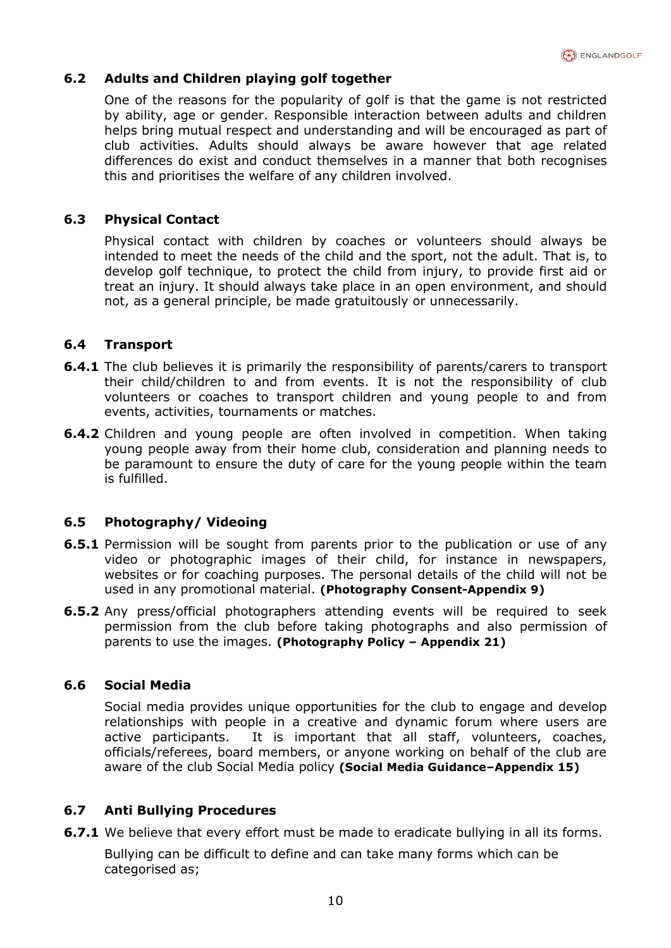

# **6.2 Adults and Children playing golf together**

One of the reasons for the popularity of golf is that the game is not restricted by ability, age or gender. Responsible interaction between adults and children helps bring mutual respect and understanding and will be encouraged as part of club activities. Adults should always be aware however that age related differences do exist and conduct themselves in a manner that both recognises this and prioritises the welfare of any children involved.

# **6.3 Physical Contact**

Physical contact with children by coaches or volunteers should always be intended to meet the needs of the child and the sport, not the adult. That is, to develop golf technique, to protect the child from injury, to provide first aid or treat an injury. It should always take place in an open environment, and should not, as a general principle, be made gratuitously or unnecessarily.

## **6.4 Transport**

- **6.4.1** The club believes it is primarily the responsibility of parents/carers to transport their child/children to and from events. It is not the responsibility of club volunteers or coaches to transport children and young people to and from events, activities, tournaments or matches.
- **6.4.2** Children and young people are often involved in competition. When taking young people away from their home club, consideration and planning needs to be paramount to ensure the duty of care for the young people within the team is fulfilled.

# **6.5 Photography/ Videoing**

- **6.5.1** Permission will be sought from parents prior to the publication or use of any video or photographic images of their child, for instance in newspapers, websites or for coaching purposes. The personal details of the child will not be used in any promotional material. **(Photography Consent-Appendix 9)**
- **6.5.2** Any press/official photographers attending events will be required to seek permission from the club before taking photographs and also permission of parents to use the images. **(Photography Policy – Appendix 21)**

#### **6.6 Social Media**

Social media provides unique opportunities for the club to engage and develop relationships with people in a creative and dynamic forum where users are active participants. It is important that all staff, volunteers, coaches, officials/referees, board members, or anyone working on behalf of the club are aware of the club Social Media policy **(Social Media Guidance–Appendix 15)**

# **6.7 Anti Bullying Procedures**

**6.7.1** We believe that every effort must be made to eradicate bullying in all its forms.

Bullying can be difficult to define and can take many forms which can be categorised as;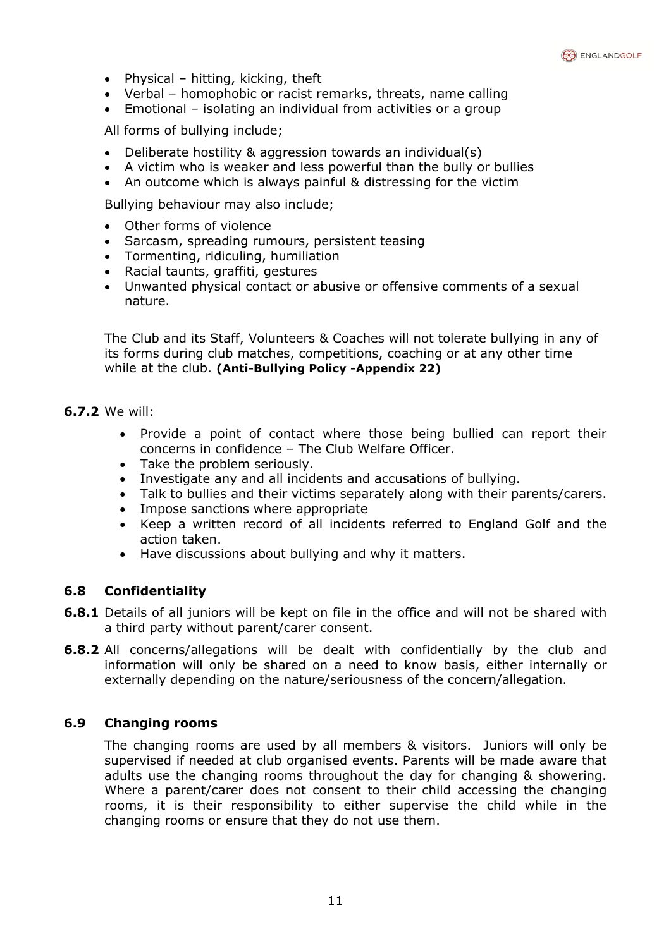

- Physical hitting, kicking, theft
- Verbal homophobic or racist remarks, threats, name calling
- Emotional isolating an individual from activities or a group

All forms of bullying include;

- Deliberate hostility & aggression towards an individual(s)
- A victim who is weaker and less powerful than the bully or bullies
- An outcome which is always painful & distressing for the victim

Bullying behaviour may also include;

- Other forms of violence
- Sarcasm, spreading rumours, persistent teasing
- Tormenting, ridiculing, humiliation
- Racial taunts, graffiti, gestures
- Unwanted physical contact or abusive or offensive comments of a sexual nature.

The Club and its Staff, Volunteers & Coaches will not tolerate bullying in any of its forms during club matches, competitions, coaching or at any other time while at the club. **(Anti-Bullying Policy -Appendix 22)**

- **6.7.2** We will:
	- Provide a point of contact where those being bullied can report their concerns in confidence – The Club Welfare Officer.
	- Take the problem seriously.
	- Investigate any and all incidents and accusations of bullying.
	- Talk to bullies and their victims separately along with their parents/carers.
	- Impose sanctions where appropriate
	- Keep a written record of all incidents referred to England Golf and the action taken.
	- Have discussions about bullying and why it matters.

# **6.8 Confidentiality**

- **6.8.1** Details of all juniors will be kept on file in the office and will not be shared with a third party without parent/carer consent.
- **6.8.2** All concerns/allegations will be dealt with confidentially by the club and information will only be shared on a need to know basis, either internally or externally depending on the nature/seriousness of the concern/allegation.

# **6.9 Changing rooms**

The changing rooms are used by all members & visitors. Juniors will only be supervised if needed at club organised events. Parents will be made aware that adults use the changing rooms throughout the day for changing & showering. Where a parent/carer does not consent to their child accessing the changing rooms, it is their responsibility to either supervise the child while in the changing rooms or ensure that they do not use them.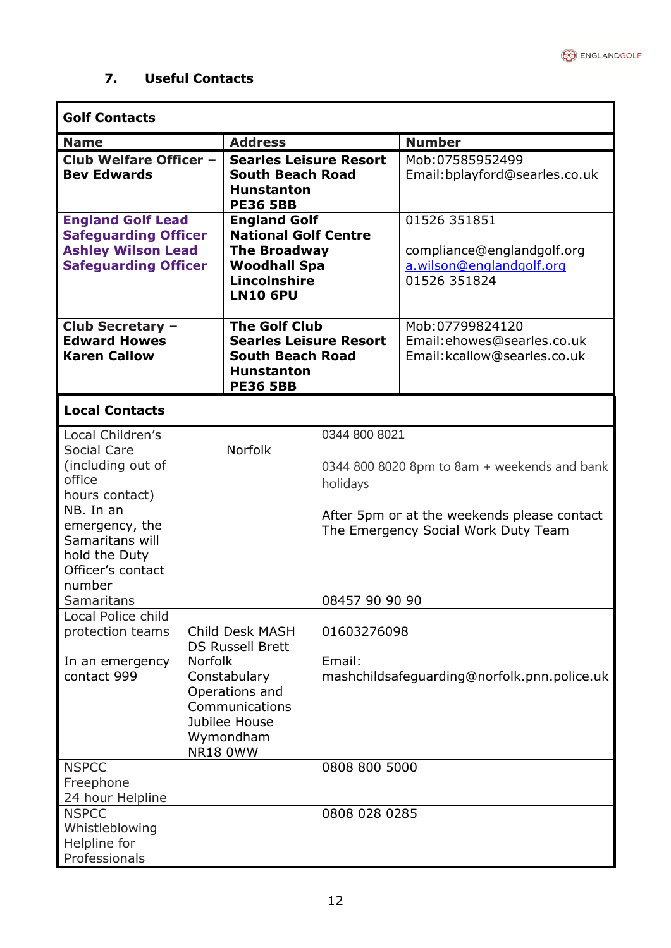

ś

# **7. Useful Contacts**

 $\blacksquare$ 

| <b>Golf Contacts</b>                                                                                                                                                                                                                                                                |                                                                                                                                                                                     |                                                                                                                          |                                                                                        |                                                                                                                                                                                   |  |
|-------------------------------------------------------------------------------------------------------------------------------------------------------------------------------------------------------------------------------------------------------------------------------------|-------------------------------------------------------------------------------------------------------------------------------------------------------------------------------------|--------------------------------------------------------------------------------------------------------------------------|----------------------------------------------------------------------------------------|-----------------------------------------------------------------------------------------------------------------------------------------------------------------------------------|--|
| <b>Name</b>                                                                                                                                                                                                                                                                         |                                                                                                                                                                                     | <b>Address</b>                                                                                                           |                                                                                        | <b>Number</b>                                                                                                                                                                     |  |
| Club Welfare Officer -<br><b>Searles Leisure Resort</b><br><b>Bev Edwards</b><br><b>South Beach Road</b><br><b>Hunstanton</b><br><b>PE36 5BB</b>                                                                                                                                    |                                                                                                                                                                                     |                                                                                                                          | Mob:07585952499<br>Email:bplayford@searles.co.uk                                       |                                                                                                                                                                                   |  |
| <b>England Golf Lead</b><br><b>England Golf</b><br><b>National Golf Centre</b><br><b>Safeguarding Officer</b><br><b>Ashley Wilson Lead</b><br><b>The Broadway</b><br><b>Safeguarding Officer</b><br><b>Woodhall Spa</b><br>Lincolnshire<br><b>LN10 6PU</b>                          |                                                                                                                                                                                     |                                                                                                                          | 01526 351851<br>compliance@englandgolf.org<br>a.wilson@englandgolf.org<br>01526 351824 |                                                                                                                                                                                   |  |
| Club Secretary -<br><b>Edward Howes</b><br><b>Karen Callow</b>                                                                                                                                                                                                                      |                                                                                                                                                                                     | <b>The Golf Club</b><br><b>Searles Leisure Resort</b><br><b>South Beach Road</b><br><b>Hunstanton</b><br><b>PE36 5BB</b> |                                                                                        | Mob:07799824120<br>Email:ehowes@searles.co.uk<br>Email: kcallow@searles.co.uk                                                                                                     |  |
| <b>Local Contacts</b>                                                                                                                                                                                                                                                               |                                                                                                                                                                                     |                                                                                                                          |                                                                                        |                                                                                                                                                                                   |  |
| Local Children's<br>Social Care<br>(including out of<br>office<br>hours contact)<br>NB. In an<br>emergency, the<br>Samaritans will<br>hold the Duty<br>Officer's contact<br>number<br><b>Samaritans</b><br>Local Police child<br>protection teams<br>In an emergency<br>contact 999 | <b>Norfolk</b><br>Child Desk MASH<br><b>DS Russell Brett</b><br><b>Norfolk</b><br>Constabulary<br>Operations and<br>Communications<br>Jubilee House<br>Wymondham<br><b>NR18 0WW</b> |                                                                                                                          | 0344 800 8021<br>holidays<br>08457 90 90 90<br>01603276098<br>Email:                   | 0344 800 8020 8pm to 8am + weekends and bank<br>After 5pm or at the weekends please contact<br>The Emergency Social Work Duty Team<br>mashchildsafeguarding@norfolk.pnn.police.uk |  |
| <b>NSPCC</b><br>Freephone                                                                                                                                                                                                                                                           |                                                                                                                                                                                     |                                                                                                                          | 0808 800 5000                                                                          |                                                                                                                                                                                   |  |
| 24 hour Helpline                                                                                                                                                                                                                                                                    |                                                                                                                                                                                     |                                                                                                                          |                                                                                        |                                                                                                                                                                                   |  |
| <b>NSPCC</b><br>Whistleblowing<br>Helpline for<br>Professionals                                                                                                                                                                                                                     |                                                                                                                                                                                     |                                                                                                                          | 0808 028 0285                                                                          |                                                                                                                                                                                   |  |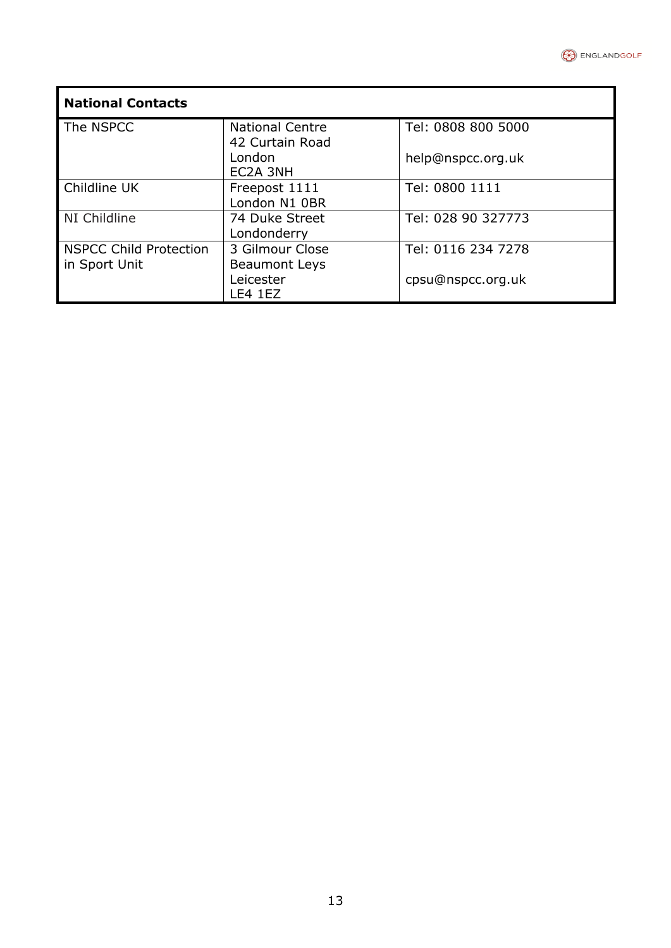

| <b>National Contacts</b> |                                           |                    |  |  |
|--------------------------|-------------------------------------------|--------------------|--|--|
| The NSPCC                | <b>National Centre</b><br>42 Curtain Road | Tel: 0808 800 5000 |  |  |
|                          | London<br>EC2A 3NH                        | help@nspcc.org.uk  |  |  |
| <b>Childline UK</b>      | Freepost 1111<br>London N1 OBR            | Tel: 0800 1111     |  |  |
| NI Childline             | 74 Duke Street<br>Londonderry             | Tel: 028 90 327773 |  |  |
| NSPCC Child Protection   | 3 Gilmour Close                           | Tel: 0116 234 7278 |  |  |
| in Sport Unit            | <b>Beaumont Leys</b>                      |                    |  |  |
|                          | Leicester                                 | cpsu@nspcc.org.uk  |  |  |
|                          | LE4 1EZ                                   |                    |  |  |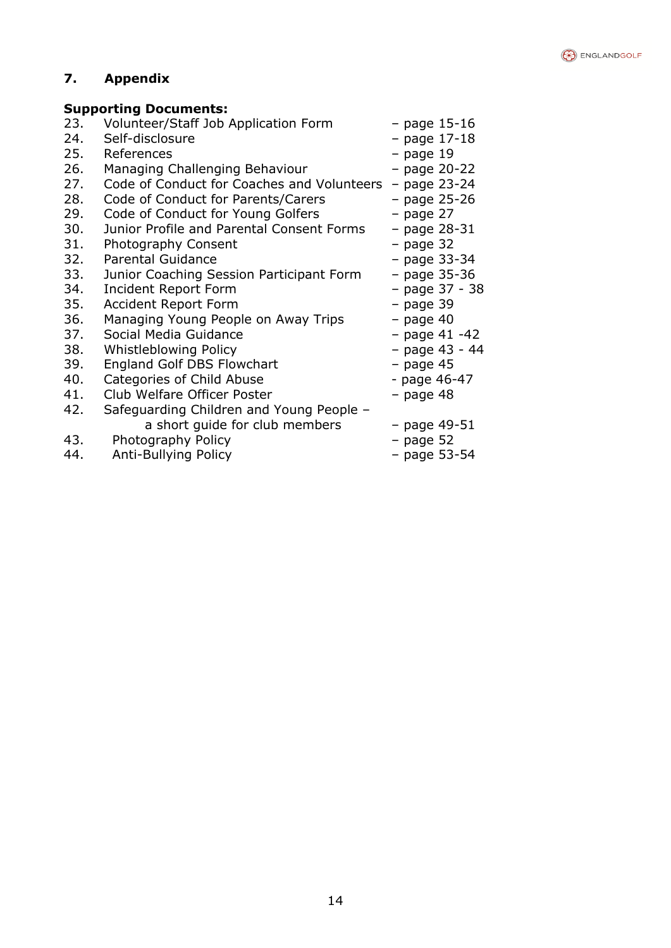

# **7. Appendix**

# **Supporting Documents:**

| 23. | Volunteer/Staff Job Application Form       | $-$ page 15-16  |
|-----|--------------------------------------------|-----------------|
| 24. | Self-disclosure                            | - page 17-18    |
| 25. | References                                 | - page 19       |
| 26. | Managing Challenging Behaviour             | - page 20-22    |
| 27. | Code of Conduct for Coaches and Volunteers | $-$ page 23-24  |
| 28. | Code of Conduct for Parents/Carers         | - page 25-26    |
| 29. | Code of Conduct for Young Golfers          | $-$ page 27     |
| 30. | Junior Profile and Parental Consent Forms  | - page 28-31    |
| 31. | Photography Consent                        | $-$ page 32     |
| 32. | <b>Parental Guidance</b>                   | $-$ page 33-34  |
| 33. | Junior Coaching Session Participant Form   | - page 35-36    |
| 34. | <b>Incident Report Form</b>                | - page 37 - 38  |
| 35. | <b>Accident Report Form</b>                | $-$ page 39     |
| 36. | Managing Young People on Away Trips        | $-$ page 40     |
| 37. | Social Media Guidance                      | $-$ page 41 -42 |
| 38. | <b>Whistleblowing Policy</b>               | - page 43 - 44  |
| 39. | <b>England Golf DBS Flowchart</b>          | - page 45       |
| 40. | Categories of Child Abuse                  | - page 46-47    |
| 41. | Club Welfare Officer Poster                | $-$ page 48     |
| 42. | Safeguarding Children and Young People -   |                 |
|     | a short quide for club members             | $-$ page 49-51  |
| 43. | Photography Policy                         | $-$ page 52     |
| 44. | Anti-Bullying Policy                       | $-$ page 53-54  |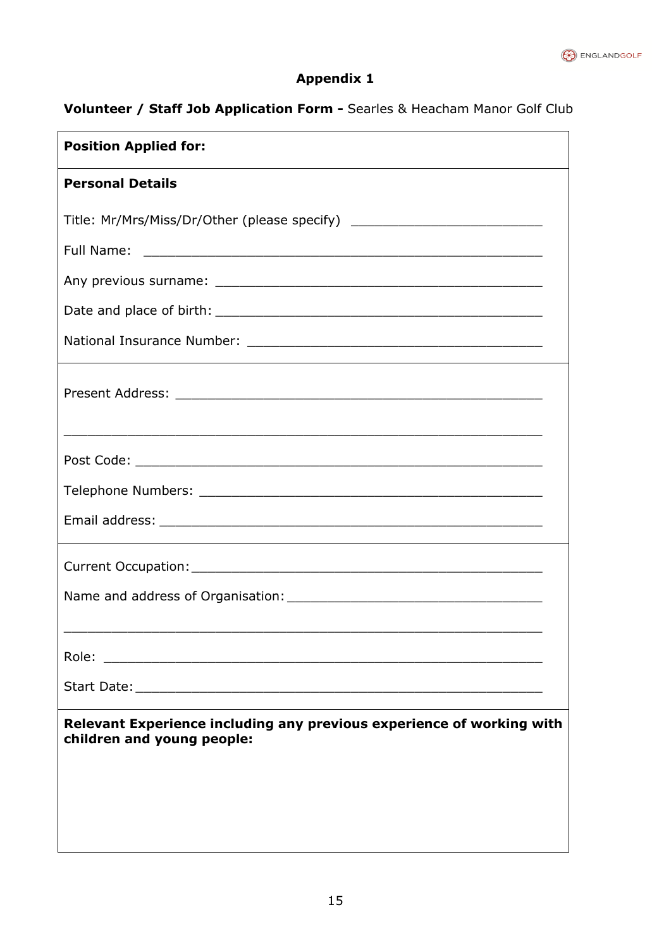

# **Volunteer / Staff Job Application Form -** Searles & Heacham Manor Golf Club

| <b>Position Applied for:</b>                                                                        |
|-----------------------------------------------------------------------------------------------------|
| <b>Personal Details</b>                                                                             |
| Title: Mr/Mrs/Miss/Dr/Other (please specify) ___________________________________                    |
|                                                                                                     |
|                                                                                                     |
|                                                                                                     |
|                                                                                                     |
| <u> 1980 - Johann Stoff, amerikansk politik (d. 1980)</u>                                           |
|                                                                                                     |
|                                                                                                     |
|                                                                                                     |
|                                                                                                     |
|                                                                                                     |
| Role:                                                                                               |
|                                                                                                     |
| Relevant Experience including any previous experience of working with<br>children and young people: |
|                                                                                                     |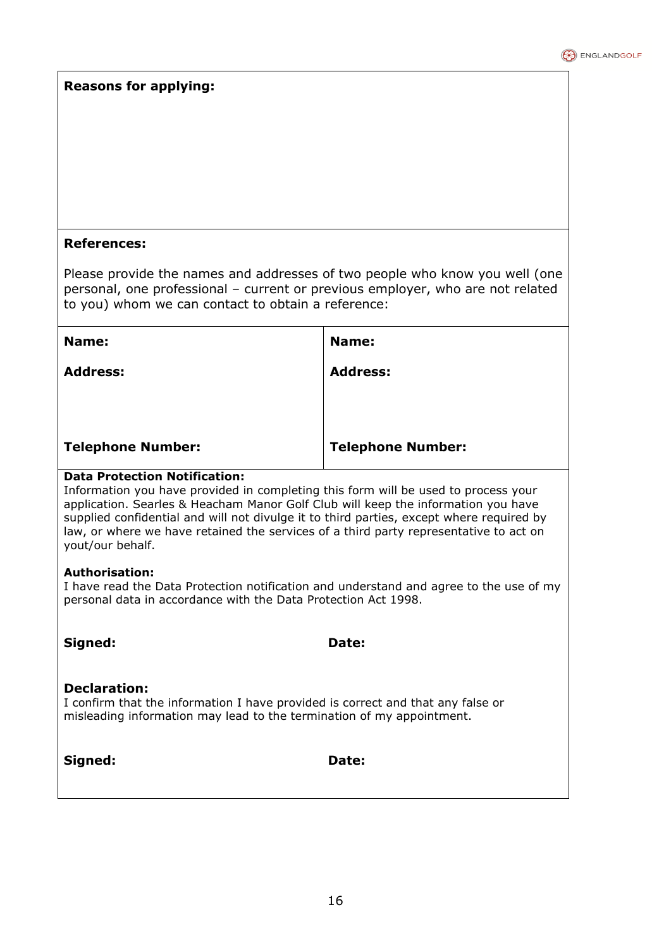#### **Reasons for applying:**

#### **References:**

Please provide the names and addresses of two people who know you well (one personal, one professional – current or previous employer, who are not related to you) whom we can contact to obtain a reference:

| Name:                    | Name:                    |
|--------------------------|--------------------------|
| <b>Address:</b>          | <b>Address:</b>          |
|                          |                          |
|                          |                          |
| <b>Telephone Number:</b> | <b>Telephone Number:</b> |

#### **Data Protection Notification:**

Information you have provided in completing this form will be used to process your application. Searles & Heacham Manor Golf Club will keep the information you have supplied confidential and will not divulge it to third parties, except where required by law, or where we have retained the services of a third party representative to act on yout/our behalf.

#### **Authorisation:**

I have read the Data Protection notification and understand and agree to the use of my personal data in accordance with the Data Protection Act 1998.

**Signed: Date:** 

#### **Declaration:**

I confirm that the information I have provided is correct and that any false or misleading information may lead to the termination of my appointment.

|  | ianed |
|--|-------|
|--|-------|

Date: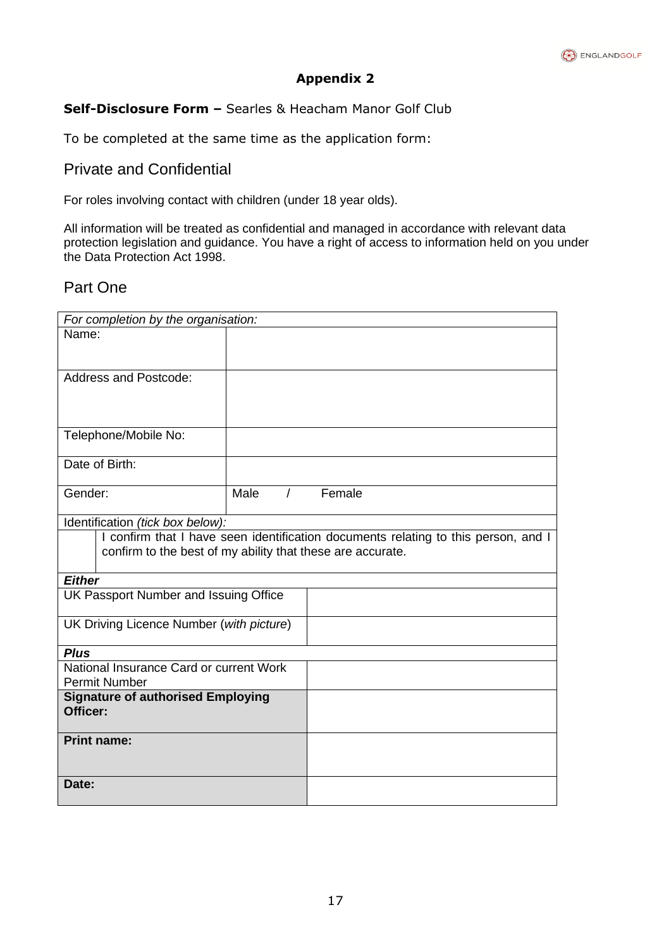

# **Self-Disclosure Form –** Searles & Heacham Manor Golf Club

To be completed at the same time as the application form:

# Private and Confidential

For roles involving contact with children (under 18 year olds).

All information will be treated as confidential and managed in accordance with relevant data protection legislation and guidance. You have a right of access to information held on you under the Data Protection Act 1998.

# Part One

| For completion by the organisation:                              |      |  |                                                                                    |
|------------------------------------------------------------------|------|--|------------------------------------------------------------------------------------|
| Name:                                                            |      |  |                                                                                    |
|                                                                  |      |  |                                                                                    |
| <b>Address and Postcode:</b>                                     |      |  |                                                                                    |
|                                                                  |      |  |                                                                                    |
|                                                                  |      |  |                                                                                    |
|                                                                  |      |  |                                                                                    |
| Telephone/Mobile No:                                             |      |  |                                                                                    |
|                                                                  |      |  |                                                                                    |
| Date of Birth:                                                   |      |  |                                                                                    |
| Gender:                                                          | Male |  | / Female                                                                           |
|                                                                  |      |  |                                                                                    |
| Identification (tick box below):                                 |      |  |                                                                                    |
|                                                                  |      |  | I confirm that I have seen identification documents relating to this person, and I |
| confirm to the best of my ability that these are accurate.       |      |  |                                                                                    |
| <b>Either</b>                                                    |      |  |                                                                                    |
| UK Passport Number and Issuing Office                            |      |  |                                                                                    |
|                                                                  |      |  |                                                                                    |
| UK Driving Licence Number (with picture)                         |      |  |                                                                                    |
|                                                                  |      |  |                                                                                    |
| <b>Plus</b>                                                      |      |  |                                                                                    |
| National Insurance Card or current Work                          |      |  |                                                                                    |
| <b>Permit Number</b><br><b>Signature of authorised Employing</b> |      |  |                                                                                    |
| Officer:                                                         |      |  |                                                                                    |
|                                                                  |      |  |                                                                                    |
| <b>Print name:</b>                                               |      |  |                                                                                    |
|                                                                  |      |  |                                                                                    |
| Date:                                                            |      |  |                                                                                    |
|                                                                  |      |  |                                                                                    |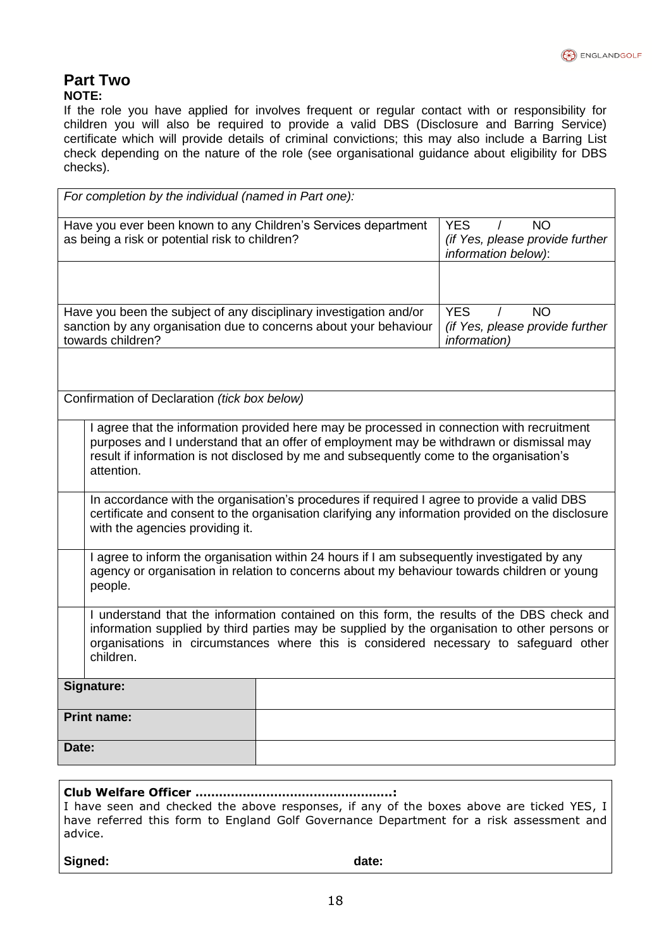# **Part Two**

#### **NOTE:**

If the role you have applied for involves frequent or regular contact with or responsibility for children you will also be required to provide a valid DBS (Disclosure and Barring Service) certificate which will provide details of criminal convictions; this may also include a Barring List check depending on the nature of the role (see organisational guidance about eligibility for DBS checks).

| For completion by the individual (named in Part one):                                                                                                                                                                                                                                            |                                                                                               |                                                                                    |  |  |
|--------------------------------------------------------------------------------------------------------------------------------------------------------------------------------------------------------------------------------------------------------------------------------------------------|-----------------------------------------------------------------------------------------------|------------------------------------------------------------------------------------|--|--|
| Have you ever been known to any Children's Services department<br>as being a risk or potential risk to children?                                                                                                                                                                                 | <b>YES</b><br><b>NO</b><br>$\prime$<br>(if Yes, please provide further<br>information below): |                                                                                    |  |  |
|                                                                                                                                                                                                                                                                                                  |                                                                                               |                                                                                    |  |  |
| Have you been the subject of any disciplinary investigation and/or<br>sanction by any organisation due to concerns about your behaviour<br>towards children?                                                                                                                                     |                                                                                               | <b>YES</b><br><b>NO</b><br>(if Yes, please provide further<br><i>information</i> ) |  |  |
|                                                                                                                                                                                                                                                                                                  |                                                                                               |                                                                                    |  |  |
| Confirmation of Declaration (tick box below)                                                                                                                                                                                                                                                     |                                                                                               |                                                                                    |  |  |
| I agree that the information provided here may be processed in connection with recruitment<br>purposes and I understand that an offer of employment may be withdrawn or dismissal may<br>result if information is not disclosed by me and subsequently come to the organisation's<br>attention.  |                                                                                               |                                                                                    |  |  |
| In accordance with the organisation's procedures if required I agree to provide a valid DBS<br>certificate and consent to the organisation clarifying any information provided on the disclosure<br>with the agencies providing it.                                                              |                                                                                               |                                                                                    |  |  |
| I agree to inform the organisation within 24 hours if I am subsequently investigated by any<br>agency or organisation in relation to concerns about my behaviour towards children or young<br>people.                                                                                            |                                                                                               |                                                                                    |  |  |
| I understand that the information contained on this form, the results of the DBS check and<br>information supplied by third parties may be supplied by the organisation to other persons or<br>organisations in circumstances where this is considered necessary to safeguard other<br>children. |                                                                                               |                                                                                    |  |  |
| Signature:                                                                                                                                                                                                                                                                                       |                                                                                               |                                                                                    |  |  |
| <b>Print name:</b>                                                                                                                                                                                                                                                                               |                                                                                               |                                                                                    |  |  |
| Date:                                                                                                                                                                                                                                                                                            |                                                                                               |                                                                                    |  |  |
|                                                                                                                                                                                                                                                                                                  |                                                                                               |                                                                                    |  |  |

**Club Welfare Officer …………………………………………..:** I have seen and checked the above responses, if any of the boxes above are ticked YES, I have referred this form to England Golf Governance Department for a risk assessment and advice.

Signed: **and a state: date: date: date:**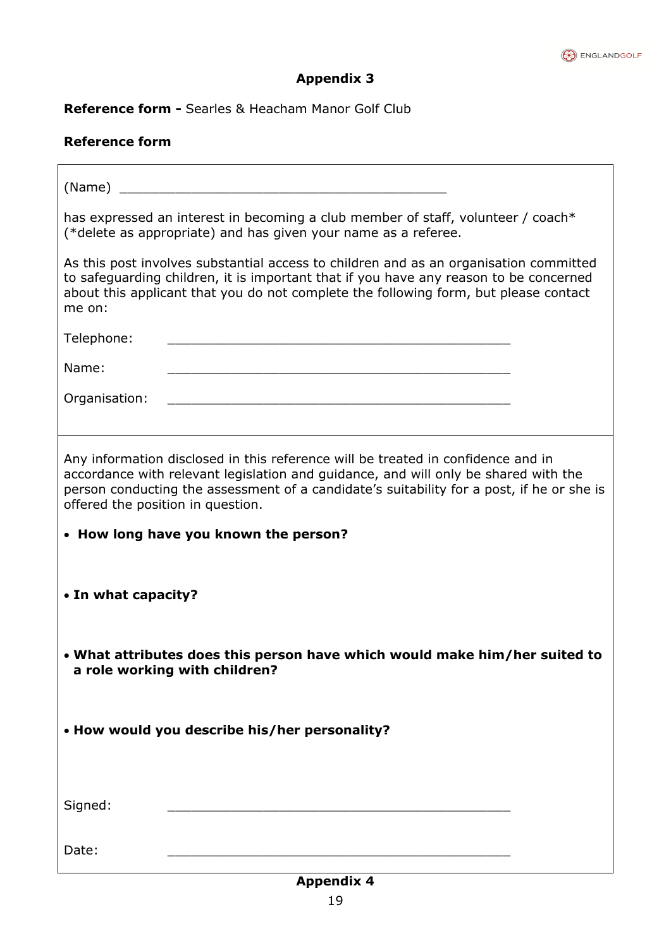

**Reference form -** Searles & Heacham Manor Golf Club

# **Reference form**

| (Name)                                                                                                                                                                                                                                                                                                    |  |  |  |  |
|-----------------------------------------------------------------------------------------------------------------------------------------------------------------------------------------------------------------------------------------------------------------------------------------------------------|--|--|--|--|
| has expressed an interest in becoming a club member of staff, volunteer / coach*<br>(*delete as appropriate) and has given your name as a referee.                                                                                                                                                        |  |  |  |  |
| As this post involves substantial access to children and as an organisation committed<br>to safeguarding children, it is important that if you have any reason to be concerned<br>about this applicant that you do not complete the following form, but please contact<br>me on:                          |  |  |  |  |
| Telephone:                                                                                                                                                                                                                                                                                                |  |  |  |  |
| Name:<br><u> 1980 - Johann Barn, amerikansk politiker (d. 1980)</u>                                                                                                                                                                                                                                       |  |  |  |  |
| Organisation:                                                                                                                                                                                                                                                                                             |  |  |  |  |
| Any information disclosed in this reference will be treated in confidence and in<br>accordance with relevant legislation and guidance, and will only be shared with the<br>person conducting the assessment of a candidate's suitability for a post, if he or she is<br>offered the position in question. |  |  |  |  |
| • How long have you known the person?                                                                                                                                                                                                                                                                     |  |  |  |  |
| • In what capacity?                                                                                                                                                                                                                                                                                       |  |  |  |  |
| • What attributes does this person have which would make him/her suited to<br>a role working with children?                                                                                                                                                                                               |  |  |  |  |
| • How would you describe his/her personality?                                                                                                                                                                                                                                                             |  |  |  |  |
| Signed:                                                                                                                                                                                                                                                                                                   |  |  |  |  |
| Date:                                                                                                                                                                                                                                                                                                     |  |  |  |  |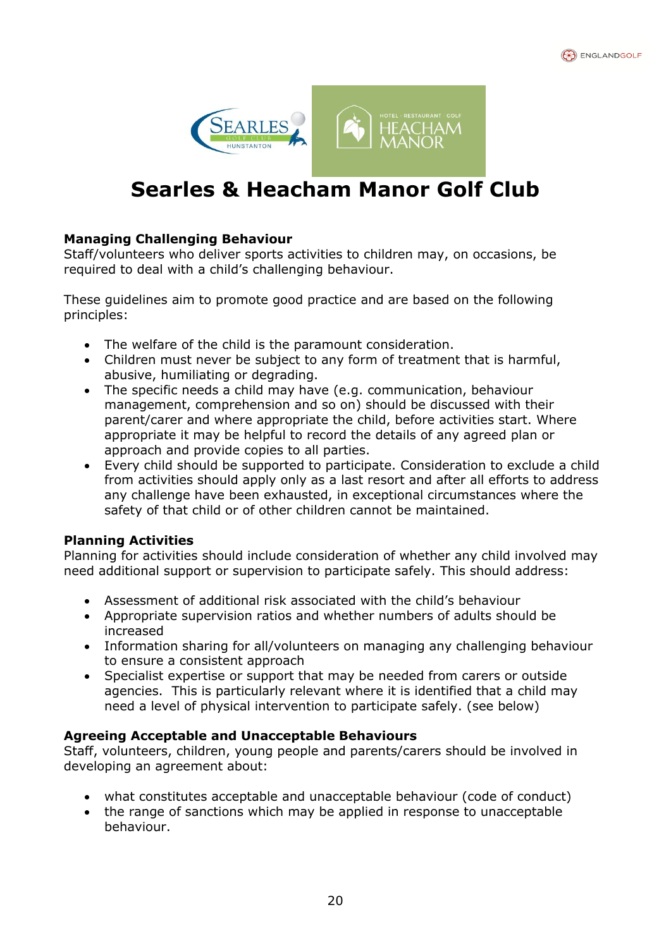



# $\mathbf{r}$ **Searles & Heacham Manor Golf Club**

# **Managing Challenging Behaviour**

Staff/volunteers who deliver sports activities to children may, on occasions, be required to deal with a child's challenging behaviour.

These guidelines aim to promote good practice and are based on the following principles:

- The welfare of the child is the paramount consideration.
- Children must never be subject to any form of treatment that is harmful, abusive, humiliating or degrading.
- The specific needs a child may have (e.g. communication, behaviour management, comprehension and so on) should be discussed with their parent/carer and where appropriate the child, before activities start. Where appropriate it may be helpful to record the details of any agreed plan or approach and provide copies to all parties.
- Every child should be supported to participate. Consideration to exclude a child from activities should apply only as a last resort and after all efforts to address any challenge have been exhausted, in exceptional circumstances where the safety of that child or of other children cannot be maintained.

# **Planning Activities**

Planning for activities should include consideration of whether any child involved may need additional support or supervision to participate safely. This should address:

- Assessment of additional risk associated with the child's behaviour
- Appropriate supervision ratios and whether numbers of adults should be increased
- Information sharing for all/volunteers on managing any challenging behaviour to ensure a consistent approach
- Specialist expertise or support that may be needed from carers or outside agencies. This is particularly relevant where it is identified that a child may need a level of physical intervention to participate safely. (see below)

# **Agreeing Acceptable and Unacceptable Behaviours**

Staff, volunteers, children, young people and parents/carers should be involved in developing an agreement about:

- what constitutes acceptable and unacceptable behaviour (code of conduct)
- the range of sanctions which may be applied in response to unacceptable behaviour.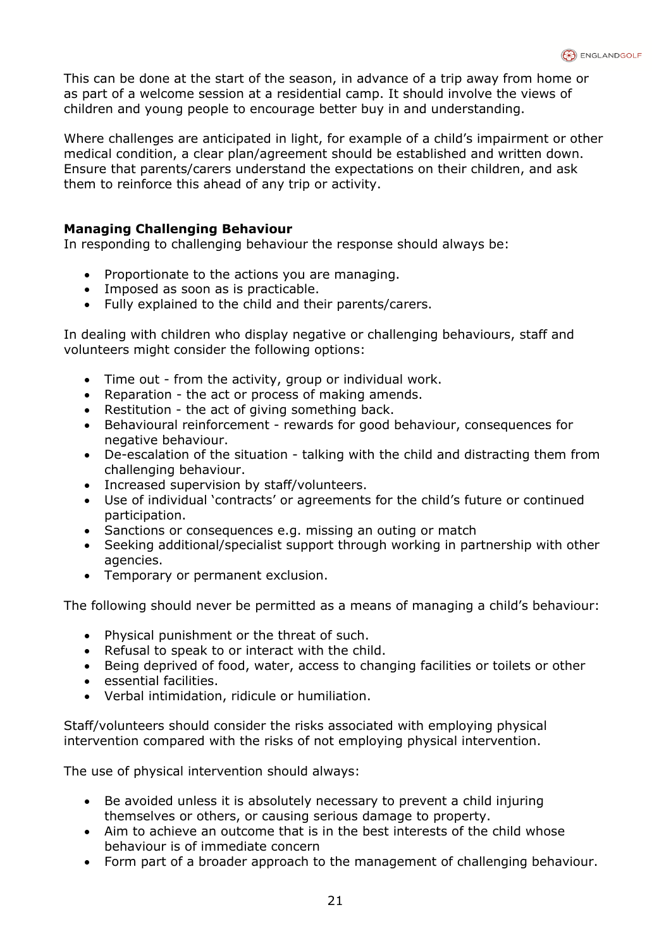This can be done at the start of the season, in advance of a trip away from home or as part of a welcome session at a residential camp. It should involve the views of children and young people to encourage better buy in and understanding.

Where challenges are anticipated in light, for example of a child's impairment or other medical condition, a clear plan/agreement should be established and written down. Ensure that parents/carers understand the expectations on their children, and ask them to reinforce this ahead of any trip or activity.

### **Managing Challenging Behaviour**

In responding to challenging behaviour the response should always be:

- Proportionate to the actions you are managing.
- Imposed as soon as is practicable.
- Fully explained to the child and their parents/carers.

In dealing with children who display negative or challenging behaviours, staff and volunteers might consider the following options:

- Time out from the activity, group or individual work.
- Reparation the act or process of making amends.
- Restitution the act of giving something back.
- Behavioural reinforcement rewards for good behaviour, consequences for negative behaviour.
- De-escalation of the situation talking with the child and distracting them from challenging behaviour.
- Increased supervision by staff/volunteers.
- Use of individual 'contracts' or agreements for the child's future or continued participation.
- Sanctions or consequences e.g. missing an outing or match
- Seeking additional/specialist support through working in partnership with other agencies.
- Temporary or permanent exclusion.

The following should never be permitted as a means of managing a child's behaviour:

- Physical punishment or the threat of such.
- Refusal to speak to or interact with the child.
- Being deprived of food, water, access to changing facilities or toilets or other
- essential facilities.
- Verbal intimidation, ridicule or humiliation.

Staff/volunteers should consider the risks associated with employing physical intervention compared with the risks of not employing physical intervention.

The use of physical intervention should always:

- Be avoided unless it is absolutely necessary to prevent a child injuring themselves or others, or causing serious damage to property.
- Aim to achieve an outcome that is in the best interests of the child whose behaviour is of immediate concern
- Form part of a broader approach to the management of challenging behaviour.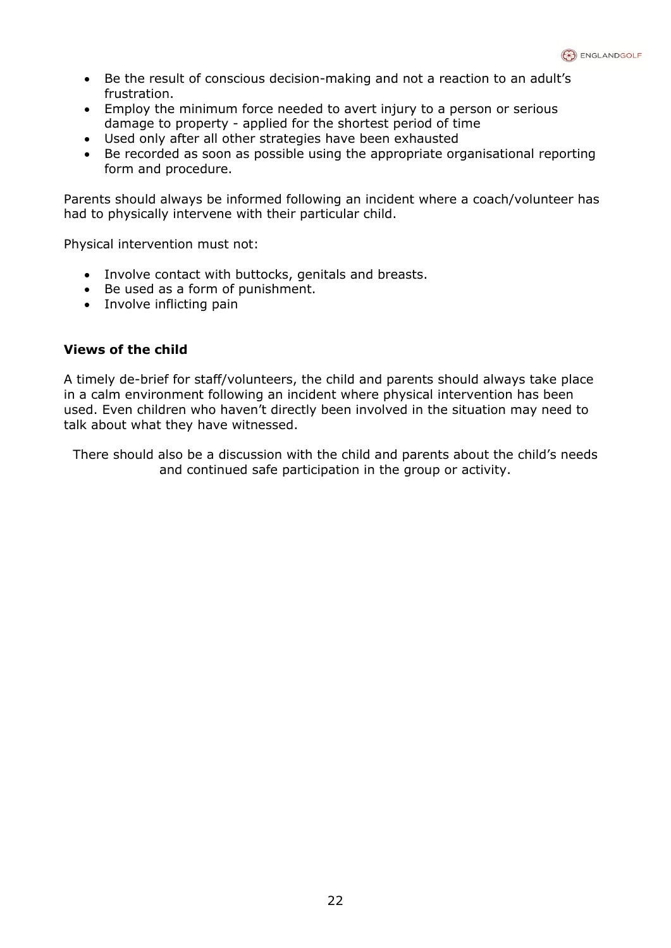- Be the result of conscious decision-making and not a reaction to an adult's frustration.
- Employ the minimum force needed to avert injury to a person or serious damage to property - applied for the shortest period of time
- Used only after all other strategies have been exhausted
- Be recorded as soon as possible using the appropriate organisational reporting form and procedure.

Parents should always be informed following an incident where a coach/volunteer has had to physically intervene with their particular child.

Physical intervention must not:

- Involve contact with buttocks, genitals and breasts.
- Be used as a form of punishment.
- Involve inflicting pain

## **Views of the child**

A timely de-brief for staff/volunteers, the child and parents should always take place in a calm environment following an incident where physical intervention has been used. Even children who haven't directly been involved in the situation may need to talk about what they have witnessed.

There should also be a discussion with the child and parents about the child's needs and continued safe participation in the group or activity.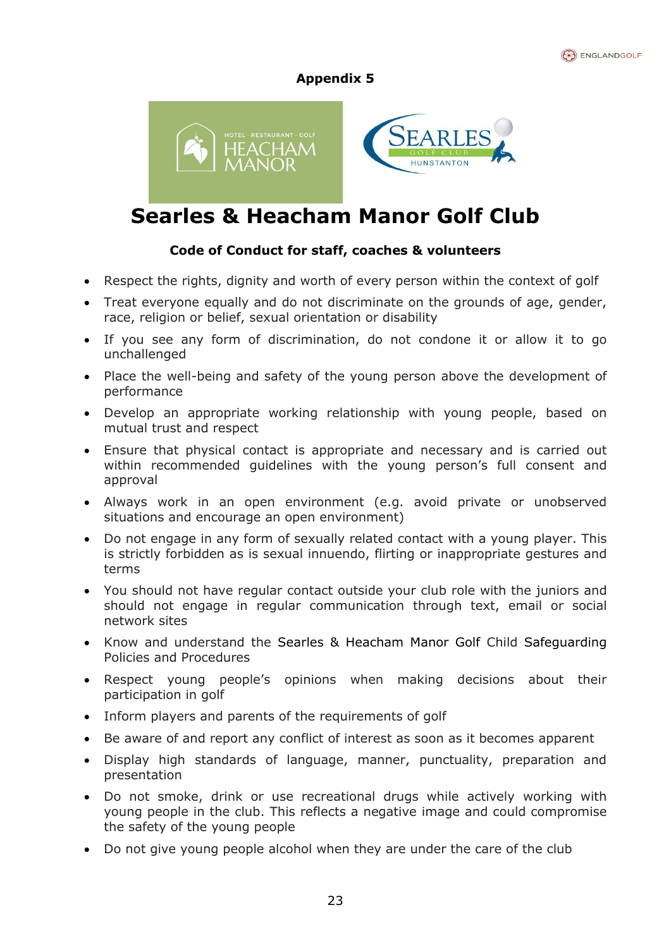



# **Searles & Heacham Manor Golf Club**

# **Code of Conduct for staff, coaches & volunteers**

- Respect the rights, dignity and worth of every person within the context of golf
- Treat everyone equally and do not discriminate on the grounds of age, gender, race, religion or belief, sexual orientation or disability
- If you see any form of discrimination, do not condone it or allow it to go unchallenged
- Place the well-being and safety of the young person above the development of performance
- Develop an appropriate working relationship with young people, based on mutual trust and respect
- Ensure that physical contact is appropriate and necessary and is carried out within recommended guidelines with the young person's full consent and approval
- Always work in an open environment (e.g. avoid private or unobserved situations and encourage an open environment)
- Do not engage in any form of sexually related contact with a young player. This is strictly forbidden as is sexual innuendo, flirting or inappropriate gestures and terms
- You should not have regular contact outside your club role with the juniors and should not engage in regular communication through text, email or social network sites
- Know and understand the Searles & Heacham Manor Golf Child Safeguarding Policies and Procedures
- Respect young people's opinions when making decisions about their participation in golf
- Inform players and parents of the requirements of golf
- Be aware of and report any conflict of interest as soon as it becomes apparent
- Display high standards of language, manner, punctuality, preparation and presentation
- Do not smoke, drink or use recreational drugs while actively working with young people in the club. This reflects a negative image and could compromise the safety of the young people
- Do not give young people alcohol when they are under the care of the club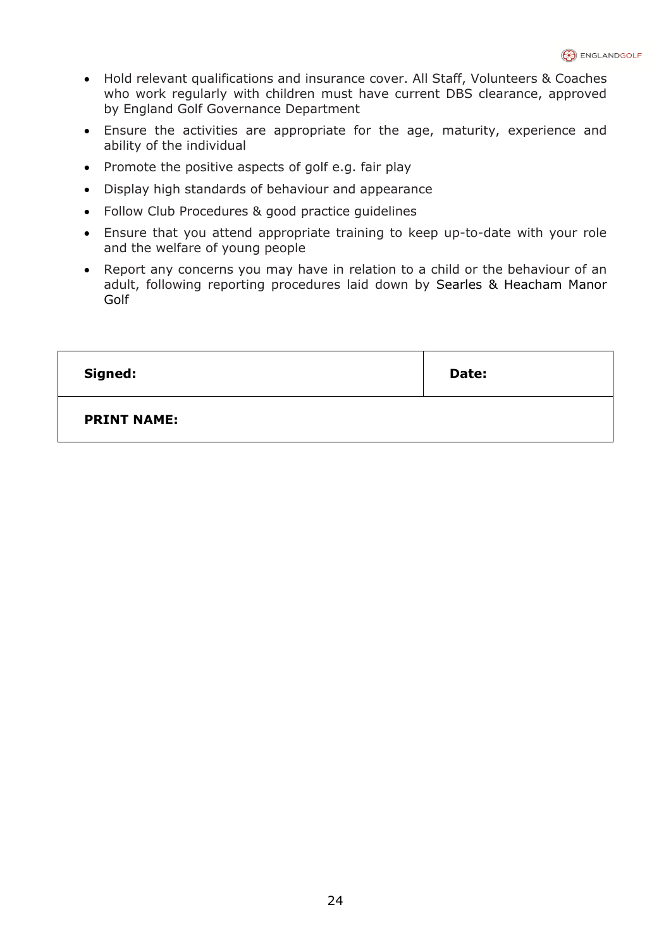- Hold relevant qualifications and insurance cover. All Staff, Volunteers & Coaches who work regularly with children must have current DBS clearance, approved by England Golf Governance Department
- Ensure the activities are appropriate for the age, maturity, experience and ability of the individual
- Promote the positive aspects of golf e.g. fair play
- Display high standards of behaviour and appearance
- Follow Club Procedures & good practice guidelines
- Ensure that you attend appropriate training to keep up-to-date with your role and the welfare of young people
- Report any concerns you may have in relation to a child or the behaviour of an adult, following reporting procedures laid down by Searles & Heacham Manor Golf

| Signed:            | Date: |
|--------------------|-------|
| <b>PRINT NAME:</b> |       |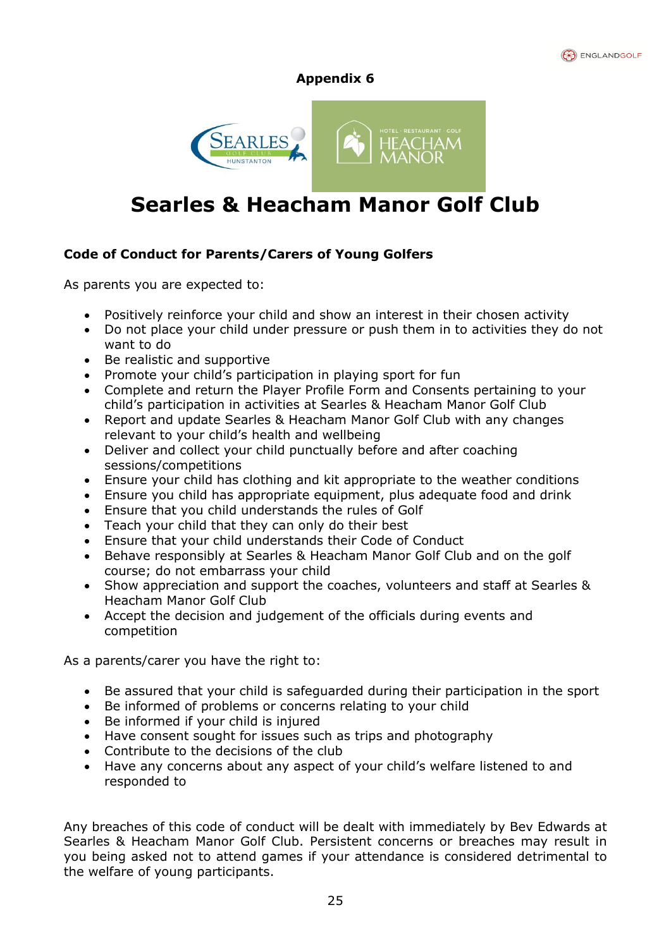



# $\mathbf{r}$ **Searles & Heacham Manor Golf Club**

# **Code of Conduct for Parents/Carers of Young Golfers**

As parents you are expected to:

- Positively reinforce your child and show an interest in their chosen activity
- Do not place your child under pressure or push them in to activities they do not want to do
- Be realistic and supportive
- Promote your child's participation in playing sport for fun
- Complete and return the Player Profile Form and Consents pertaining to your child's participation in activities at Searles & Heacham Manor Golf Club
- Report and update Searles & Heacham Manor Golf Club with any changes relevant to your child's health and wellbeing
- Deliver and collect your child punctually before and after coaching sessions/competitions
- Ensure your child has clothing and kit appropriate to the weather conditions
- Ensure you child has appropriate equipment, plus adequate food and drink
- Ensure that you child understands the rules of Golf
- Teach your child that they can only do their best
- Ensure that your child understands their Code of Conduct
- Behave responsibly at Searles & Heacham Manor Golf Club and on the golf course; do not embarrass your child
- Show appreciation and support the coaches, volunteers and staff at Searles & Heacham Manor Golf Club
- Accept the decision and judgement of the officials during events and competition

As a parents/carer you have the right to:

- Be assured that your child is safeguarded during their participation in the sport
- Be informed of problems or concerns relating to your child
- Be informed if your child is injured
- Have consent sought for issues such as trips and photography
- Contribute to the decisions of the club
- Have any concerns about any aspect of your child's welfare listened to and responded to

Any breaches of this code of conduct will be dealt with immediately by Bev Edwards at Searles & Heacham Manor Golf Club. Persistent concerns or breaches may result in you being asked not to attend games if your attendance is considered detrimental to the welfare of young participants.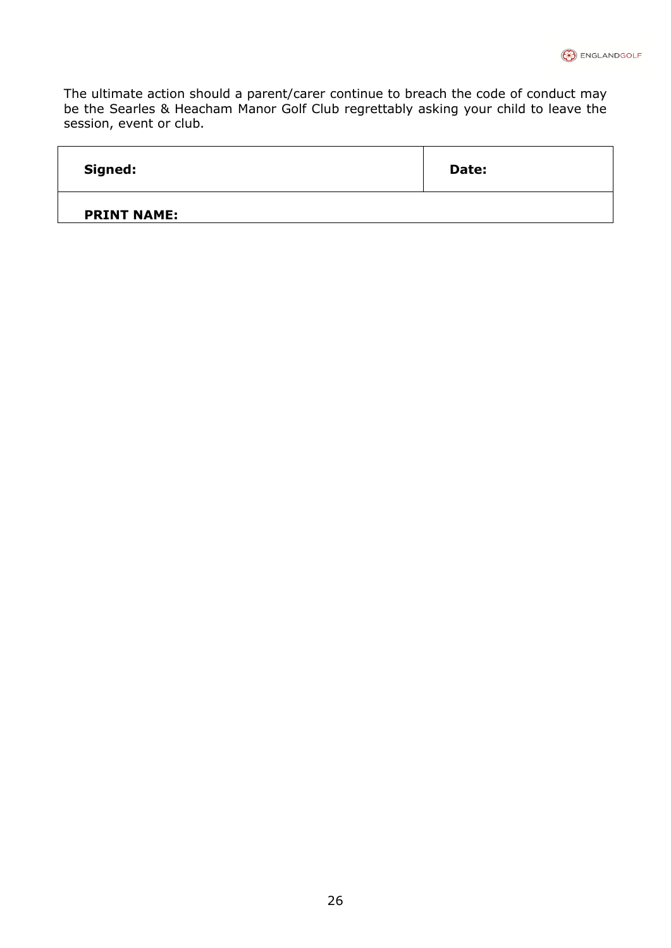The ultimate action should a parent/carer continue to breach the code of conduct may be the Searles & Heacham Manor Golf Club regrettably asking your child to leave the session, event or club.

| Signed:            | Date: |
|--------------------|-------|
| <b>PRINT NAME:</b> |       |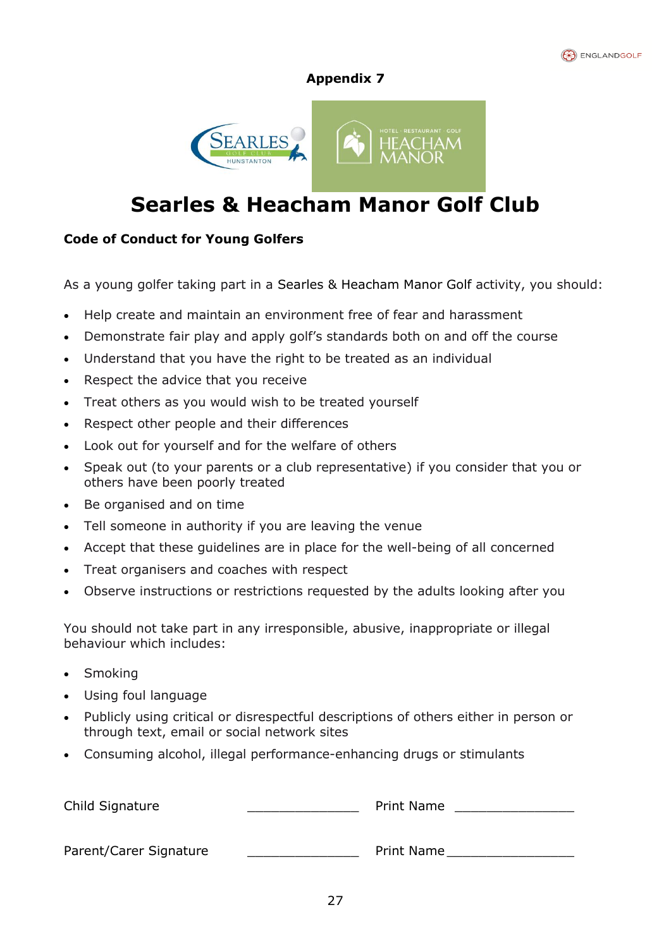



# $\mathbf{r}$ **Searles & Heacham Manor Golf Club**

# **Code of Conduct for Young Golfers**

As a young golfer taking part in a Searles & Heacham Manor Golf activity, you should:

- Help create and maintain an environment free of fear and harassment
- Demonstrate fair play and apply golf's standards both on and off the course
- Understand that you have the right to be treated as an individual
- Respect the advice that you receive
- Treat others as you would wish to be treated yourself
- Respect other people and their differences
- Look out for yourself and for the welfare of others
- Speak out (to your parents or a club representative) if you consider that you or others have been poorly treated
- Be organised and on time
- Tell someone in authority if you are leaving the venue
- Accept that these guidelines are in place for the well-being of all concerned
- Treat organisers and coaches with respect
- Observe instructions or restrictions requested by the adults looking after you

You should not take part in any irresponsible, abusive, inappropriate or illegal behaviour which includes:

- **Smoking**
- Using foul language
- Publicly using critical or disrespectful descriptions of others either in person or through text, email or social network sites
- Consuming alcohol, illegal performance-enhancing drugs or stimulants

| Child Signature        | <b>Print Name</b> |
|------------------------|-------------------|
| Parent/Carer Signature | <b>Print Name</b> |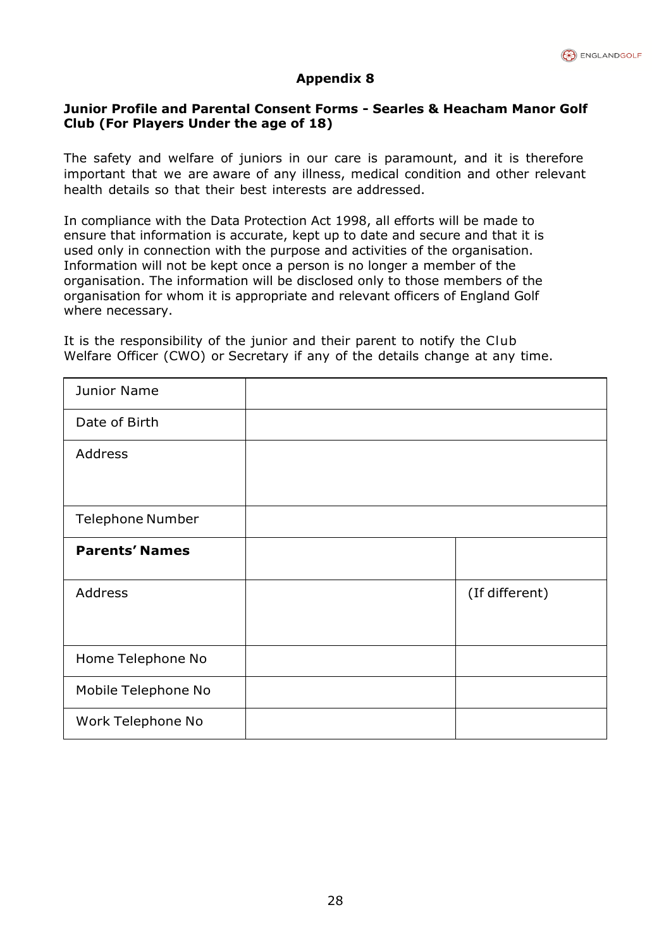

# **Junior Profile and Parental Consent Forms - Searles & Heacham Manor Golf Club (For Players Under the age of 18)**

The safety and welfare of juniors in our care is paramount, and it is therefore important that we are aware of any illness, medical condition and other relevant health details so that their best interests are addressed.

In compliance with the Data Protection Act 1998, all efforts will be made to ensure that information is accurate, kept up to date and secure and that it is used only in connection with the purpose and activities of the organisation. Information will not be kept once a person is no longer a member of the organisation. The information will be disclosed only to those members of the organisation for whom it is appropriate and relevant officers of England Golf where necessary.

It is the responsibility of the junior and their parent to notify the Club Welfare Officer (CWO) or Secretary if any of the details change at any time.

| <b>Junior Name</b>      |                |
|-------------------------|----------------|
| Date of Birth           |                |
| Address                 |                |
|                         |                |
| <b>Telephone Number</b> |                |
| <b>Parents' Names</b>   |                |
| <b>Address</b>          | (If different) |
|                         |                |
| Home Telephone No       |                |
| Mobile Telephone No     |                |
| Work Telephone No       |                |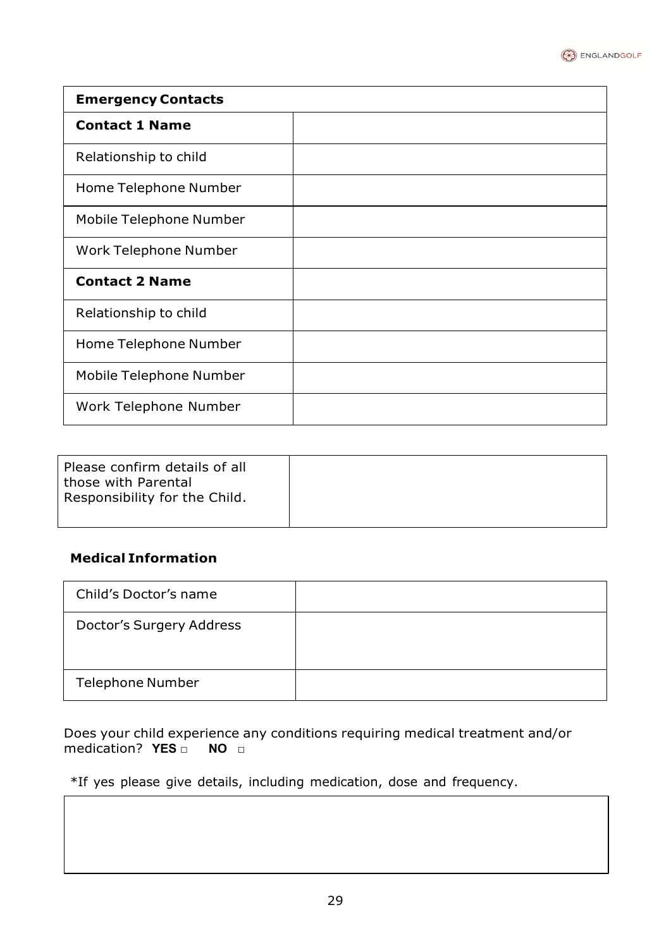

| <b>Emergency Contacts</b> |  |
|---------------------------|--|
| <b>Contact 1 Name</b>     |  |
| Relationship to child     |  |
| Home Telephone Number     |  |
| Mobile Telephone Number   |  |
| Work Telephone Number     |  |
| <b>Contact 2 Name</b>     |  |
| Relationship to child     |  |
| Home Telephone Number     |  |
| Mobile Telephone Number   |  |
| Work Telephone Number     |  |

| Please confirm details of all<br>those with Parental<br>Responsibility for the Child. |  |
|---------------------------------------------------------------------------------------|--|
|                                                                                       |  |

# **Medical Information**

| Child's Doctor's name    |  |
|--------------------------|--|
| Doctor's Surgery Address |  |
| <b>Telephone Number</b>  |  |

Does your child experience any conditions requiring medical treatment and/or medication?  $YES \Box$  NO  $\Box$ medication? **YES** □

\*If yes please give details, including medication, dose and frequency.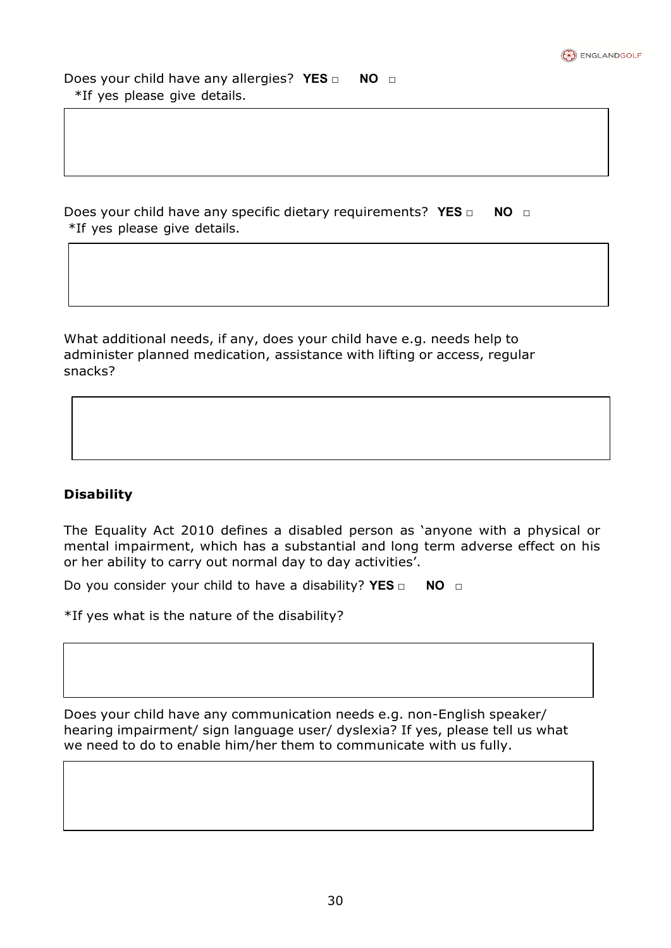

Does your child have any allergies? **YES □ NO □** \*If yes please give details.

Does your child have any specific dietary requirements? **YES □ NO □** \*If yes please give details.

What additional needs, if any, does your child have e.g. needs help to administer planned medication, assistance with lifting or access, regular snacks?

# **Disability**

The Equality Act 2010 defines a disabled person as 'anyone with a physical or mental impairment, which has a substantial and long term adverse effect on his or her ability to carry out normal day to day activities'.

Do you consider your child to have a disability? **YES □ NO □**

\*If yes what is the nature of the disability?

Does your child have any communication needs e.g. non-English speaker/ hearing impairment/ sign language user/ dyslexia? If yes, please tell us what we need to do to enable him/her them to communicate with us fully.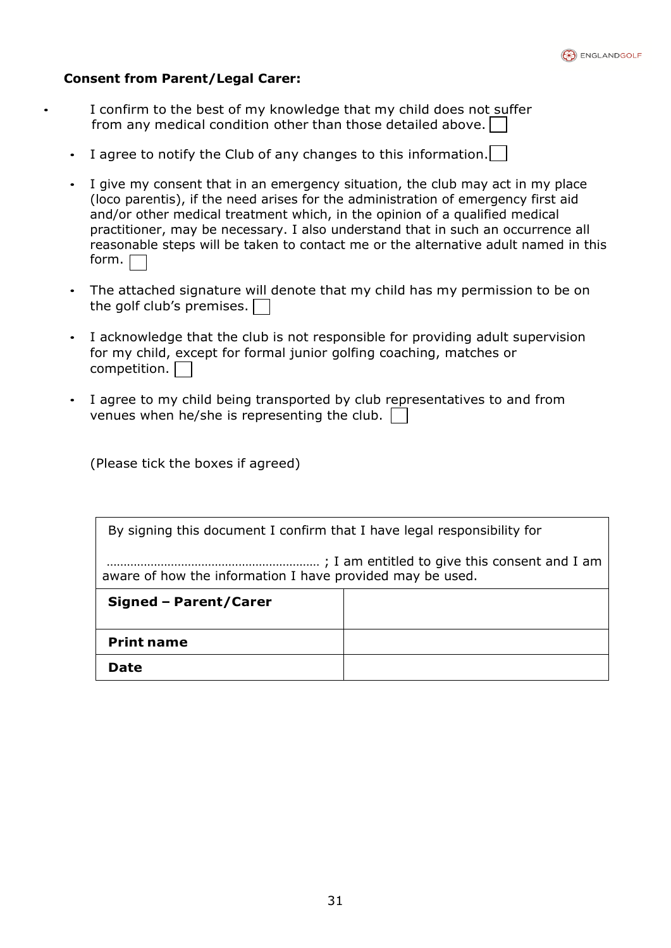

# **Consent from Parent/Legal Carer:**

I confirm to the best of my knowledge that my child does not suffer from any medical condition other than those detailed above.

- I agree to notify the Club of any changes to this information.
- I give my consent that in an emergency situation, the club may act in my place (loco parentis), if the need arises for the administration of emergency first aid and/or other medical treatment which, in the opinion of a qualified medical practitioner, may be necessary. I also understand that in such an occurrence all reasonable steps will be taken to contact me or the alternative adult named in this form.  $\Gamma$
- The attached signature will denote that my child has my permission to be on the golf club's premises.
- I acknowledge that the club is not responsible for providing adult supervision for my child, except for formal junior golfing coaching, matches or competition.
- I agree to my child being transported by club representatives to and from venues when he/she is representing the club.

(Please tick the boxes if agreed)

By signing this document I confirm that I have legal responsibility for

……………………………………………………… ; I am entitled to give this consent and I am aware of how the information I have provided may be used.

| <b>Signed - Parent/Carer</b> |  |
|------------------------------|--|
| <b>Print name</b>            |  |
| <b>Date</b>                  |  |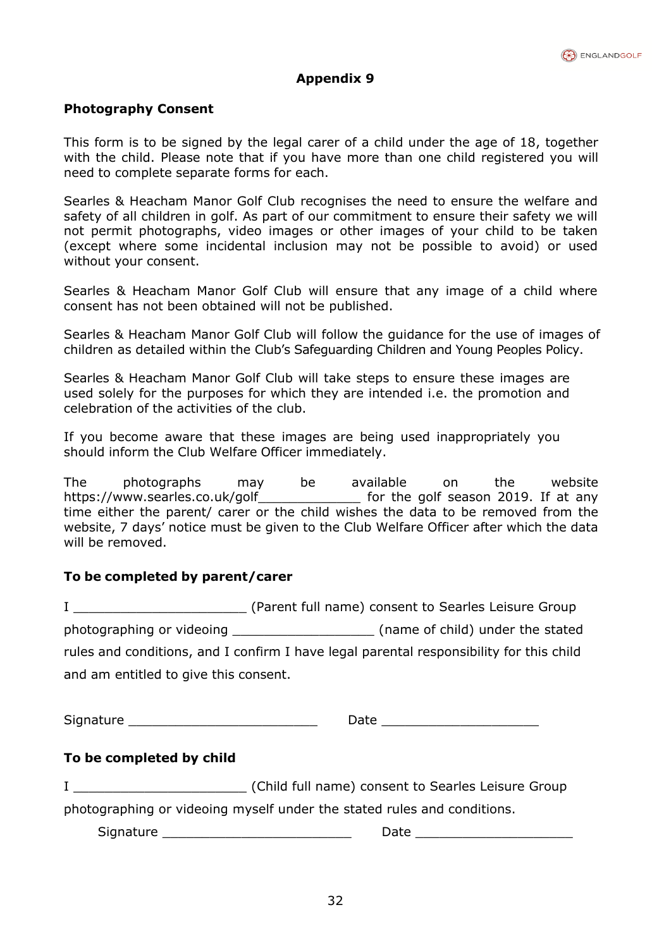

# **Photography Consent**

This form is to be signed by the legal carer of a child under the age of 18, together with the child. Please note that if you have more than one child registered you will need to complete separate forms for each.

Searles & Heacham Manor Golf Club recognises the need to ensure the welfare and safety of all children in golf. As part of our commitment to ensure their safety we will not permit photographs, video images or other images of your child to be taken (except where some incidental inclusion may not be possible to avoid) or used without your consent.

Searles & Heacham Manor Golf Club will ensure that any image of a child where consent has not been obtained will not be published.

Searles & Heacham Manor Golf Club will follow the guidance for the use of images of children as detailed within the Club's Safeguarding Children and Young Peoples Policy.

Searles & Heacham Manor Golf Club will take steps to ensure these images are used solely for the purposes for which they are intended i.e. the promotion and celebration of the activities of the club.

If you become aware that these images are being used inappropriately you should inform the Club Welfare Officer immediately.

The photographs may be available on the website https://www.searles.co.uk/golf for the golf season 2019. If at any time either the parent/ carer or the child wishes the data to be removed from the website, 7 days' notice must be given to the Club Welfare Officer after which the data will be removed.

# **To be completed by parent/carer**

I \_\_\_\_\_\_\_\_\_\_\_\_\_\_\_\_\_\_\_\_\_\_ (Parent full name) consent to Searles Leisure Group photographing or videoing \_\_\_\_\_\_\_\_\_\_\_\_\_\_\_\_\_\_ (name of child) under the stated rules and conditions, and I confirm I have legal parental responsibility for this child and am entitled to give this consent.

Signature \_\_\_\_\_\_\_\_\_\_\_\_\_\_\_\_\_\_\_\_\_\_\_\_ Date \_\_\_\_\_\_\_\_\_\_\_\_\_\_\_\_\_\_\_\_

# **To be completed by child**

I Child full name) consent to Searles Leisure Group

photographing or videoing myself under the stated rules and conditions.

Signature \_\_\_\_\_\_\_\_\_\_\_\_\_\_\_\_\_\_\_\_\_\_\_\_ Date \_\_\_\_\_\_\_\_\_\_\_\_\_\_\_\_\_\_\_\_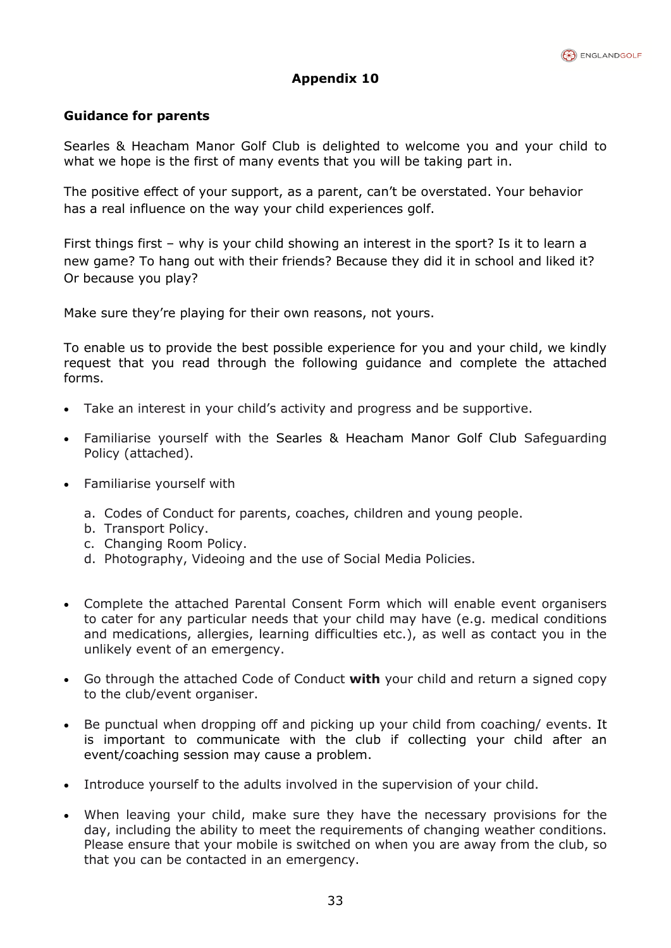

# **Guidance for parents**

Searles & Heacham Manor Golf Club is delighted to welcome you and your child to what we hope is the first of many events that you will be taking part in.

The positive effect of your support, as a parent, can't be overstated. Your behavior has a real influence on the way your child experiences golf.

First things first – why is your child showing an interest in the sport? Is it to learn a new game? To hang out with their friends? Because they did it in school and liked it? Or because you play?

Make sure they're playing for their own reasons, not yours.

To enable us to provide the best possible experience for you and your child, we kindly request that you read through the following guidance and complete the attached forms.

- Take an interest in your child's activity and progress and be supportive.
- Familiarise yourself with the Searles & Heacham Manor Golf Club Safeguarding Policy (attached).
- Familiarise yourself with
	- a. Codes of Conduct for parents, coaches, children and young people.
	- b. Transport Policy.
	- c. Changing Room Policy.
	- d. Photography, Videoing and the use of Social Media Policies.
- Complete the attached Parental Consent Form which will enable event organisers to cater for any particular needs that your child may have (e.g. medical conditions and medications, allergies, learning difficulties etc.), as well as contact you in the unlikely event of an emergency.
- Go through the attached Code of Conduct **with** your child and return a signed copy to the club/event organiser.
- Be punctual when dropping off and picking up your child from coaching/ events. It is important to communicate with the club if collecting your child after an event/coaching session may cause a problem.
- Introduce yourself to the adults involved in the supervision of your child.
- When leaving your child, make sure they have the necessary provisions for the day, including the ability to meet the requirements of changing weather conditions. Please ensure that your mobile is switched on when you are away from the club, so that you can be contacted in an emergency.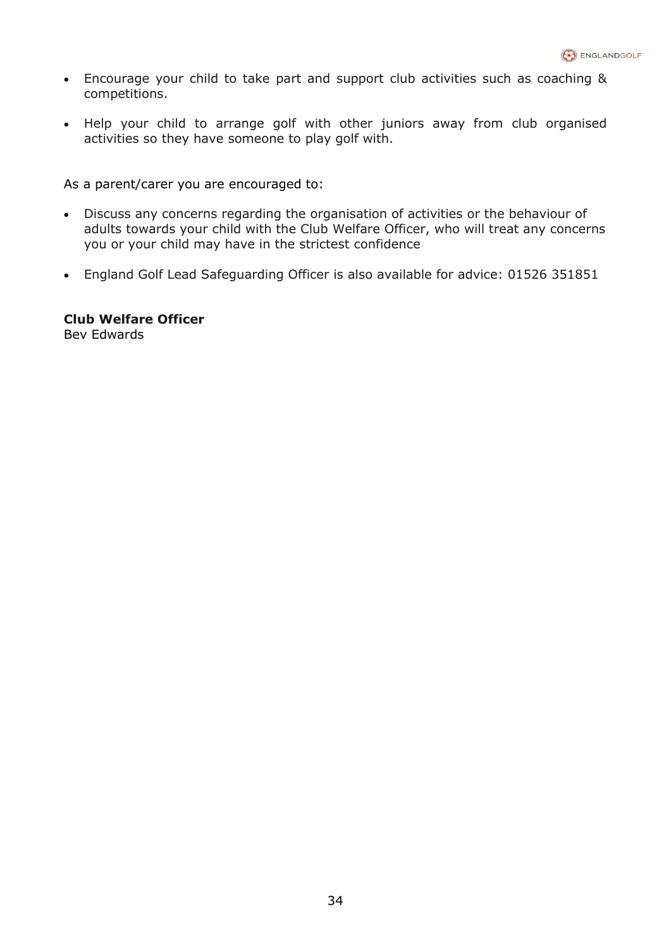- Encourage your child to take part and support club activities such as coaching & competitions.
- Help your child to arrange golf with other juniors away from club organised activities so they have someone to play golf with.

As a parent/carer you are encouraged to:

- Discuss any concerns regarding the organisation of activities or the behaviour of adults towards your child with the Club Welfare Officer, who will treat any concerns you or your child may have in the strictest confidence
- England Golf Lead Safeguarding Officer is also available for advice: 01526 351851

**Club Welfare Officer** Bev Edwards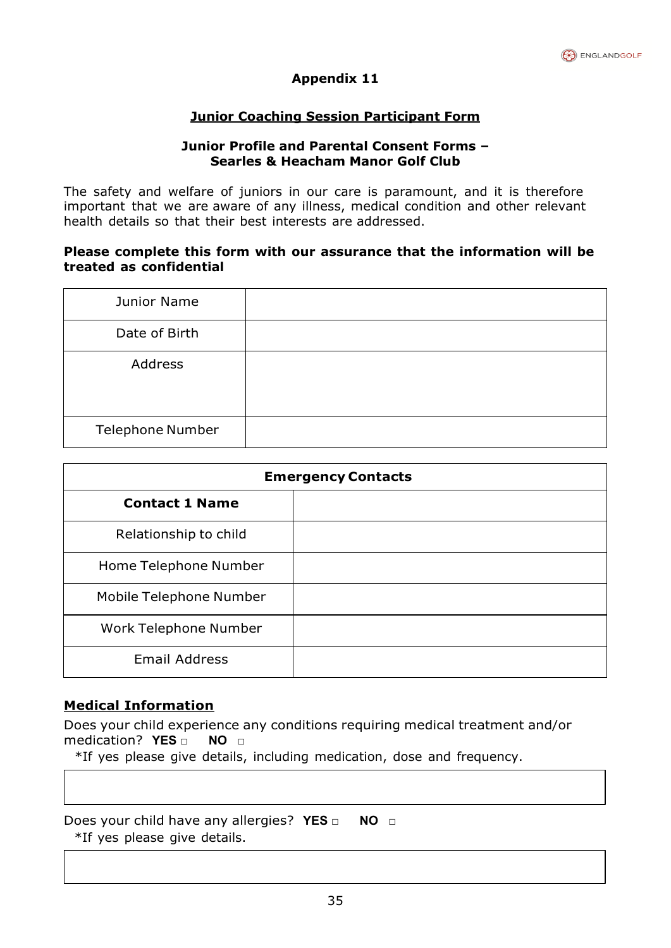

# **Junior Coaching Session Participant Form**

# **Junior Profile and Parental Consent Forms – Searles & Heacham Manor Golf Club**

The safety and welfare of juniors in our care is paramount, and it is therefore important that we are aware of any illness, medical condition and other relevant health details so that their best interests are addressed.

## **Please complete this form with our assurance that the information will be treated as confidential**

| Junior Name             |  |
|-------------------------|--|
| Date of Birth           |  |
| Address                 |  |
| <b>Telephone Number</b> |  |

| <b>Emergency Contacts</b> |  |
|---------------------------|--|
| <b>Contact 1 Name</b>     |  |
| Relationship to child     |  |
| Home Telephone Number     |  |
| Mobile Telephone Number   |  |
| Work Telephone Number     |  |
| <b>Email Address</b>      |  |

# **Medical Information**

Does your child experience any conditions requiring medical treatment and/or medication? **YES □ NO □**

\*If yes please give details, including medication, dose and frequency.

Does your child have any allergies? **YES □ NO □** \*If yes please give details.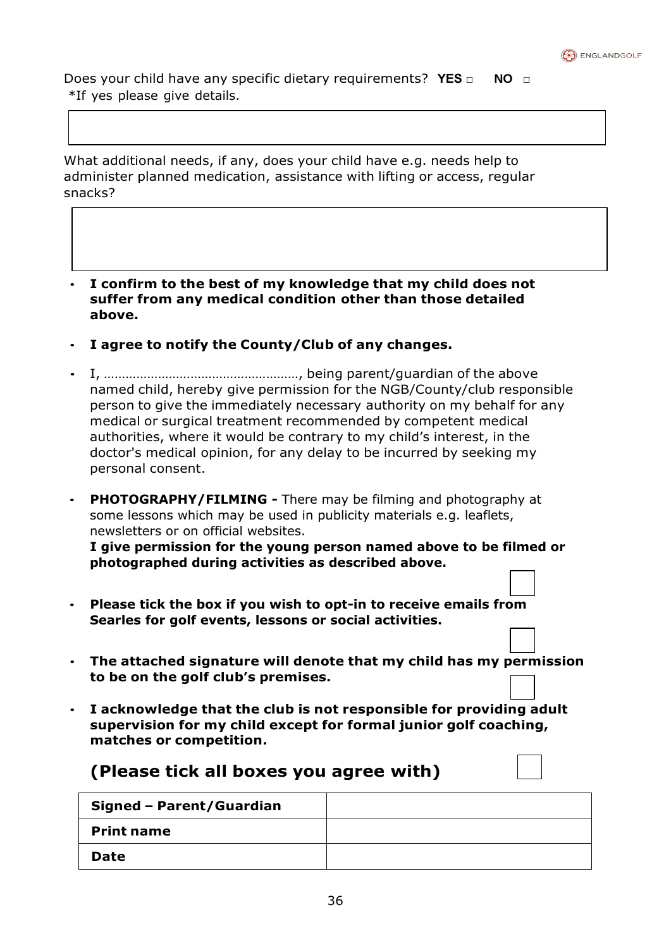

Does your child have any specific dietary requirements? **YES □ NO □** \*If yes please give details.

What additional needs, if any, does your child have e.g. needs help to administer planned medication, assistance with lifting or access, regular snacks?

- **I confirm to the best of my knowledge that my child does not suffer from any medical condition other than those detailed above.**
- **I agree to notify the County/Club of any changes.**
- I, ………………………………………………, being parent/guardian of the above named child, hereby give permission for the NGB/County/club responsible person to give the immediately necessary authority on my behalf for any medical or surgical treatment recommended by competent medical authorities, where it would be contrary to my child's interest, in the doctor's medical opinion, for any delay to be incurred by seeking my personal consent.
- **PHOTOGRAPHY/FILMING -** There may be filming and photography at some lessons which may be used in publicity materials e.g. leaflets, newsletters or on official websites.

**I give permission for the young person named above to be filmed or photographed during activities as described above.**

- **Please tick the box if you wish to opt-in to receive emails from Searles for golf events, lessons or social activities.**
- **The attached signature will denote that my child has my permission to be on the golf club's premises.**
- **I acknowledge that the club is not responsible for providing adult supervision for my child except for formal junior golf coaching, matches or competition.**

# **(Please tick all boxes you agree with)**

| Signed - Parent/Guardian |  |
|--------------------------|--|
| <b>Print name</b>        |  |
| Date                     |  |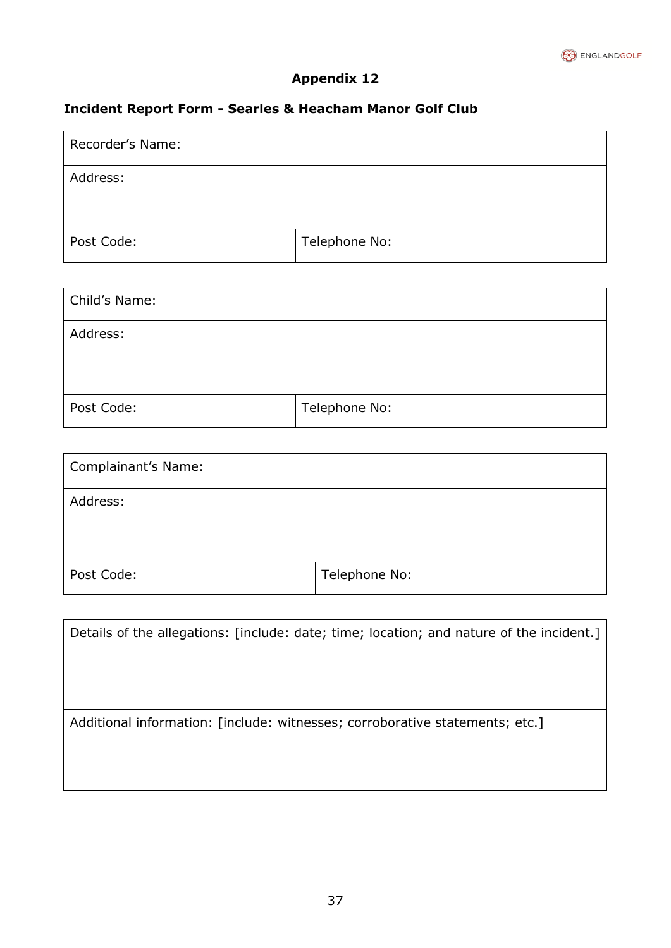

# **Incident Report Form - Searles & Heacham Manor Golf Club**

| Recorder's Name: |               |
|------------------|---------------|
| Address:         |               |
|                  |               |
| Post Code:       | Telephone No: |

| Child's Name: |               |
|---------------|---------------|
| Address:      |               |
|               |               |
| Post Code:    | Telephone No: |

| Complainant's Name: |               |
|---------------------|---------------|
| Address:            |               |
| Post Code:          | Telephone No: |

| Details of the allegations: [include: date; time; location; and nature of the incident.] |  |  |  |
|------------------------------------------------------------------------------------------|--|--|--|
|                                                                                          |  |  |  |
|                                                                                          |  |  |  |
| Additional information: [include: witnesses; corroborative statements; etc.]             |  |  |  |
|                                                                                          |  |  |  |
|                                                                                          |  |  |  |
|                                                                                          |  |  |  |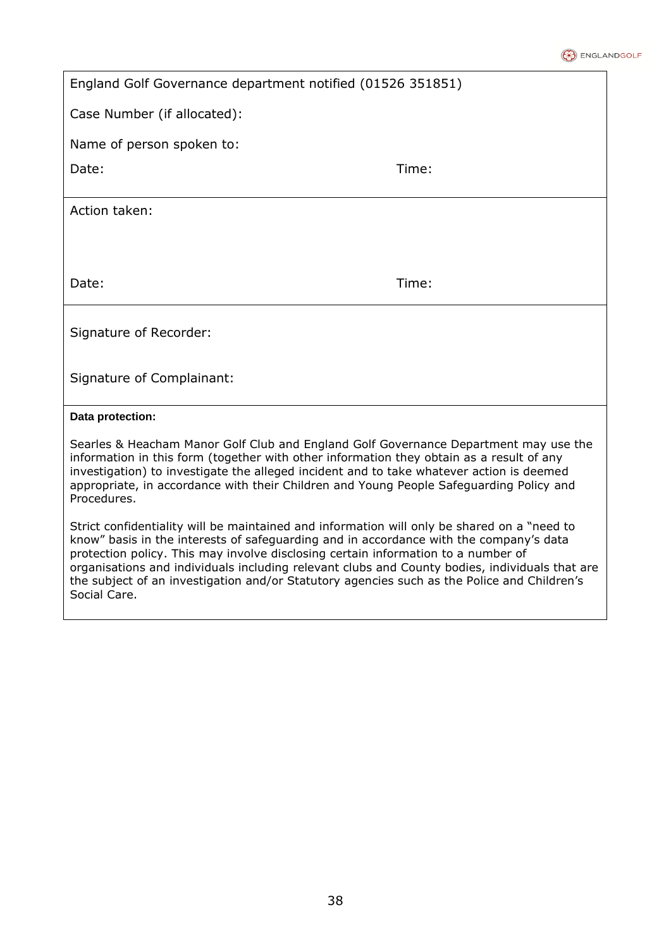#### **B** ENGLANDGOLF

| England Golf Governance department notified (01526 351851)                                                                                                                                                                                                                                                                                                                                                         |       |  |  |
|--------------------------------------------------------------------------------------------------------------------------------------------------------------------------------------------------------------------------------------------------------------------------------------------------------------------------------------------------------------------------------------------------------------------|-------|--|--|
| Case Number (if allocated):                                                                                                                                                                                                                                                                                                                                                                                        |       |  |  |
| Name of person spoken to:                                                                                                                                                                                                                                                                                                                                                                                          |       |  |  |
| Date:                                                                                                                                                                                                                                                                                                                                                                                                              | Time: |  |  |
| Action taken:                                                                                                                                                                                                                                                                                                                                                                                                      |       |  |  |
|                                                                                                                                                                                                                                                                                                                                                                                                                    |       |  |  |
| Date:                                                                                                                                                                                                                                                                                                                                                                                                              | Time: |  |  |
| Signature of Recorder:                                                                                                                                                                                                                                                                                                                                                                                             |       |  |  |
| Signature of Complainant:                                                                                                                                                                                                                                                                                                                                                                                          |       |  |  |
| Data protection:                                                                                                                                                                                                                                                                                                                                                                                                   |       |  |  |
| Searles & Heacham Manor Golf Club and England Golf Governance Department may use the<br>information in this form (together with other information they obtain as a result of any<br>and the Charles to be a through the collection of the state of the state of the collection of the collection of the collection of the collection of the collection of the collection of the collection of the collection of th |       |  |  |

investigation) to investigate the alleged incident and to take whatever action is deemed appropriate, in accordance with their Children and Young People Safeguarding Policy and Procedures.

Strict confidentiality will be maintained and information will only be shared on a "need to know" basis in the interests of safeguarding and in accordance with the company's data protection policy. This may involve disclosing certain information to a number of organisations and individuals including relevant clubs and County bodies, individuals that are the subject of an investigation and/or Statutory agencies such as the Police and Children's Social Care.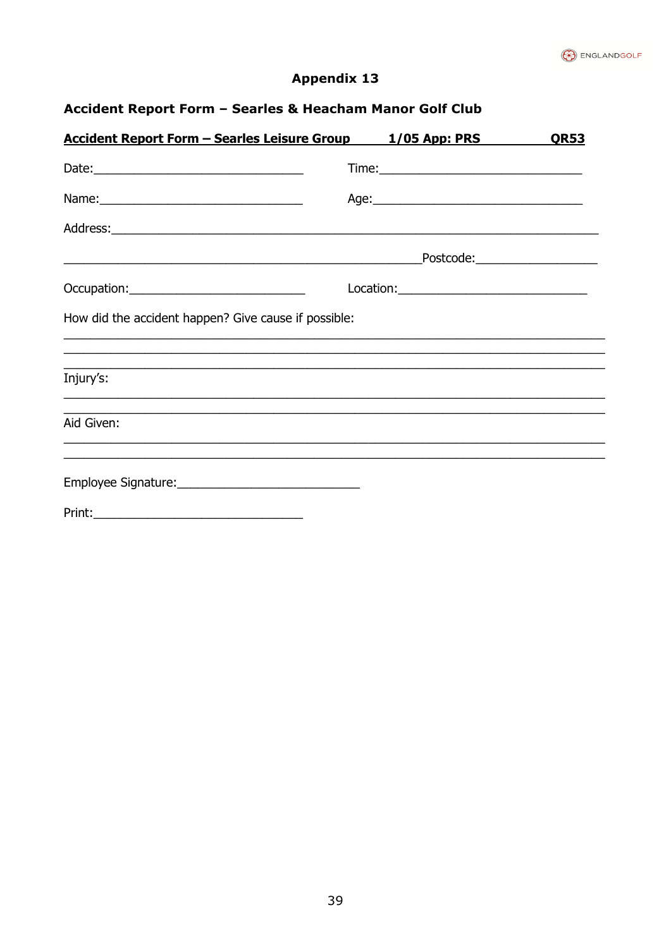

# Accident Report Form - Searles & Heacham Manor Golf Club

| <b>Accident Report Form - Searles Leisure Group</b>                                             |  | <b>QR53</b>                                                                                         |  |
|-------------------------------------------------------------------------------------------------|--|-----------------------------------------------------------------------------------------------------|--|
|                                                                                                 |  |                                                                                                     |  |
| Name: Name:                                                                                     |  |                                                                                                     |  |
|                                                                                                 |  |                                                                                                     |  |
|                                                                                                 |  | $\textit{\textbf{Postcode:}}\textit{\underline{\hspace{1.5cm}}}\textit{\underline{\hspace{1.5cm}}}$ |  |
|                                                                                                 |  |                                                                                                     |  |
| How did the accident happen? Give cause if possible:                                            |  |                                                                                                     |  |
|                                                                                                 |  |                                                                                                     |  |
| Injury's:                                                                                       |  |                                                                                                     |  |
| ,我们也不能在这里的人,我们也不能在这里的人,我们也不能在这里的人,我们也不能在这里的人,我们也不能在这里的人,我们也不能在这里的人,我们也不能在这里的人,我们也<br>Aid Given: |  |                                                                                                     |  |
|                                                                                                 |  |                                                                                                     |  |
|                                                                                                 |  |                                                                                                     |  |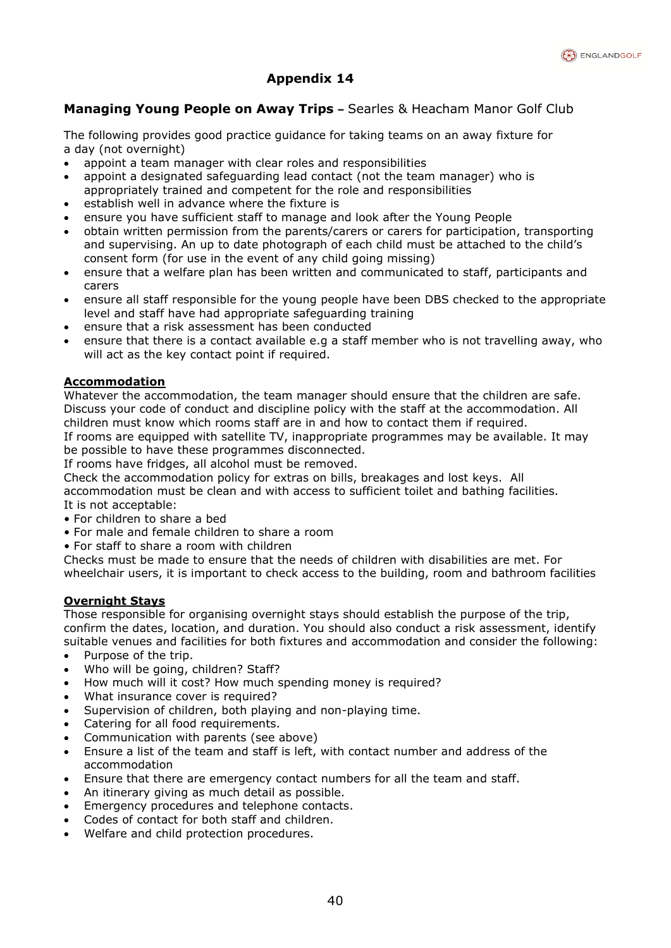

# **Managing Young People on Away Trips –** Searles & Heacham Manor Golf Club

The following provides good practice guidance for taking teams on an away fixture for a day (not overnight)

- appoint a team manager with clear roles and responsibilities
- appoint a designated safeguarding lead contact (not the team manager) who is appropriately trained and competent for the role and responsibilities
- establish well in advance where the fixture is
- ensure you have sufficient staff to manage and look after the Young People
- obtain written permission from the parents/carers or carers for participation, transporting and supervising. An up to date photograph of each child must be attached to the child's consent form (for use in the event of any child going missing)
- ensure that a welfare plan has been written and communicated to staff, participants and carers
- ensure all staff responsible for the young people have been DBS checked to the appropriate level and staff have had appropriate safeguarding training
- ensure that a risk assessment has been conducted
- ensure that there is a contact available e.g a staff member who is not travelling away, who will act as the key contact point if required.

#### **Accommodation**

Whatever the accommodation, the team manager should ensure that the children are safe. Discuss your code of conduct and discipline policy with the staff at the accommodation. All children must know which rooms staff are in and how to contact them if required.

If rooms are equipped with satellite TV, inappropriate programmes may be available. It may be possible to have these programmes disconnected.

If rooms have fridges, all alcohol must be removed.

Check the accommodation policy for extras on bills, breakages and lost keys. All accommodation must be clean and with access to sufficient toilet and bathing facilities. It is not acceptable:

- For children to share a bed
- For male and female children to share a room
- For staff to share a room with children

Checks must be made to ensure that the needs of children with disabilities are met. For wheelchair users, it is important to check access to the building, room and bathroom facilities

#### **Overnight Stays**

Those responsible for organising overnight stays should establish the purpose of the trip, confirm the dates, location, and duration. You should also conduct a risk assessment, identify suitable venues and facilities for both fixtures and accommodation and consider the following:

- Purpose of the trip.
- Who will be going, children? Staff?
- How much will it cost? How much spending money is required?
- What insurance cover is required?
- Supervision of children, both playing and non-playing time.
- Catering for all food requirements.
- Communication with parents (see above)
- Ensure a list of the team and staff is left, with contact number and address of the accommodation
- Ensure that there are emergency contact numbers for all the team and staff.
- An itinerary giving as much detail as possible.
- Emergency procedures and telephone contacts.
- Codes of contact for both staff and children.
- Welfare and child protection procedures.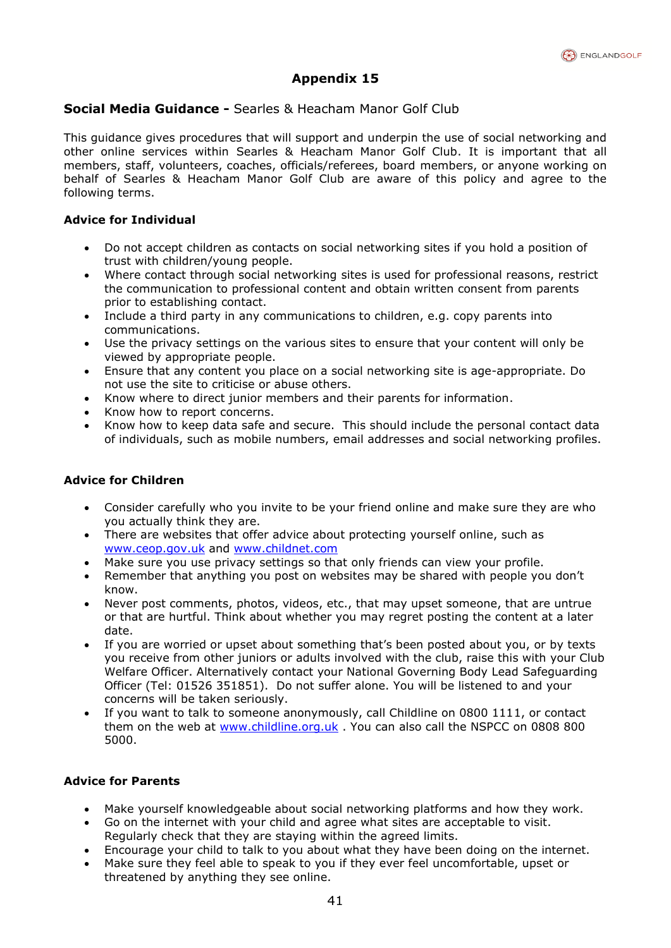

#### **Social Media Guidance -** Searles & Heacham Manor Golf Club

This guidance gives procedures that will support and underpin the use of social networking and other online services within Searles & Heacham Manor Golf Club. It is important that all members, staff, volunteers, coaches, officials/referees, board members, or anyone working on behalf of Searles & Heacham Manor Golf Club are aware of this policy and agree to the following terms.

#### **Advice for Individual**

- Do not accept children as contacts on social networking sites if you hold a position of trust with children/young people.
- Where contact through social networking sites is used for professional reasons, restrict the communication to professional content and obtain written consent from parents prior to establishing contact.
- Include a third party in any communications to children, e.g. copy parents into communications.
- Use the privacy settings on the various sites to ensure that your content will only be viewed by appropriate people.
- Ensure that any content you place on a social networking site is age-appropriate. Do not use the site to criticise or abuse others.
- Know where to direct junior members and their parents for information.
- Know how to report concerns.
- Know how to keep data safe and secure. This should include the personal contact data of individuals, such as mobile numbers, email addresses and social networking profiles.

#### **Advice for Children**

- Consider carefully who you invite to be your friend online and make sure they are who you actually think they are.
- There are websites that offer advice about protecting yourself online, such as [www.ceop.gov.uk](http://www.ceop.gov.uk/) and [www.childnet.com](http://www.childnet.com/)
- Make sure you use privacy settings so that only friends can view your profile.
- Remember that anything you post on websites may be shared with people you don't know.
- Never post comments, photos, videos, etc., that may upset someone, that are untrue or that are hurtful. Think about whether you may regret posting the content at a later date.
- If you are worried or upset about something that's been posted about you, or by texts you receive from other juniors or adults involved with the club, raise this with your Club Welfare Officer. Alternatively contact your National Governing Body Lead Safeguarding Officer [\(Tel: 01526](tel:01526) 351851). Do not suffer alone. You will be listened to and your concerns will be taken seriously.
- If you want to talk to someone anonymously, call Childline on 0800 1111, or contact them on the web at [www.childline.org.uk](http://www.childline.org.uk/) . You can also call the NSPCC on 0808 800 5000.

#### **Advice for Parents**

- Make yourself knowledgeable about social networking platforms and how they work.
- Go on the internet with your child and agree what sites are acceptable to visit. Regularly check that they are staying within the agreed limits.
- Encourage your child to talk to you about what they have been doing on the internet.
- Make sure they feel able to speak to you if they ever feel uncomfortable, upset or threatened by anything they see online.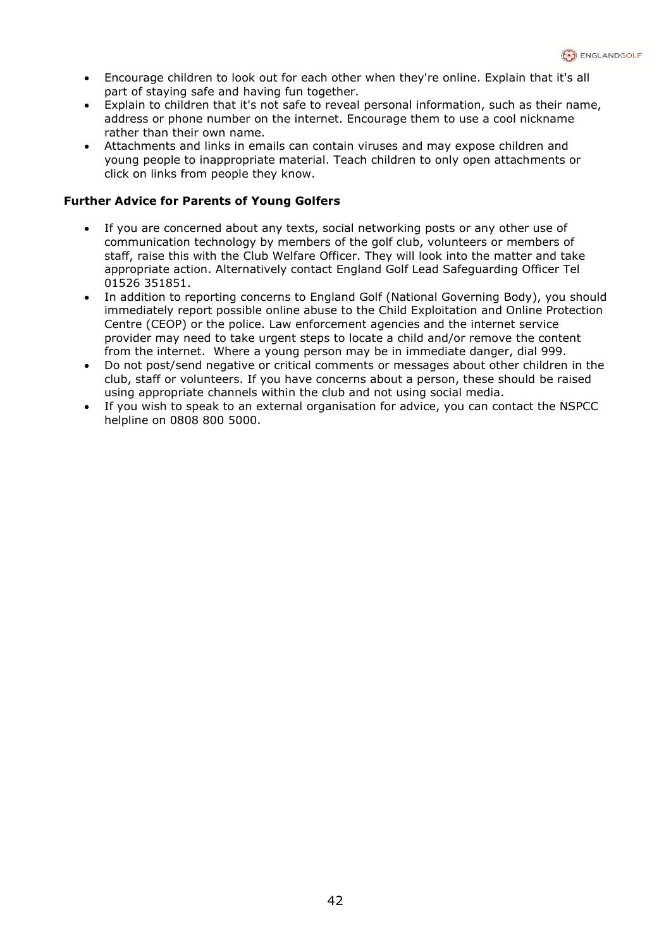- Encourage children to look out for each other when they're online. Explain that it's all part of staying safe and having fun together.
- Explain to children that it's not safe to reveal personal information, such as their name, address or phone number on the internet. Encourage them to use a cool nickname rather than their own name.
- Attachments and links in emails can contain viruses and may expose children and young people to inappropriate material. Teach children to only open attachments or click on links from people they know.

#### **Further Advice for Parents of Young Golfers**

- If you are concerned about any texts, social networking posts or any other use of communication technology by members of the golf club, volunteers or members of staff, raise this with the Club Welfare Officer. They will look into the matter and take appropriate action. Alternatively contact England Golf Lead Safeguarding Officer Tel 01526 351851.
- In addition to reporting concerns to England Golf (National Governing Body), you should immediately report possible online abuse to the Child Exploitation and Online Protection Centre (CEOP) or the police. Law enforcement agencies and the internet service provider may need to take urgent steps to locate a child and/or remove the content from the internet. Where a young person may be in immediate danger, dial 999.
- Do not post/send negative or critical comments or messages about other children in the club, staff or volunteers. If you have concerns about a person, these should be raised using appropriate channels within the club and not using social media.
- If you wish to speak to an external organisation for advice, you can contact the NSPCC helpline on 0808 800 5000.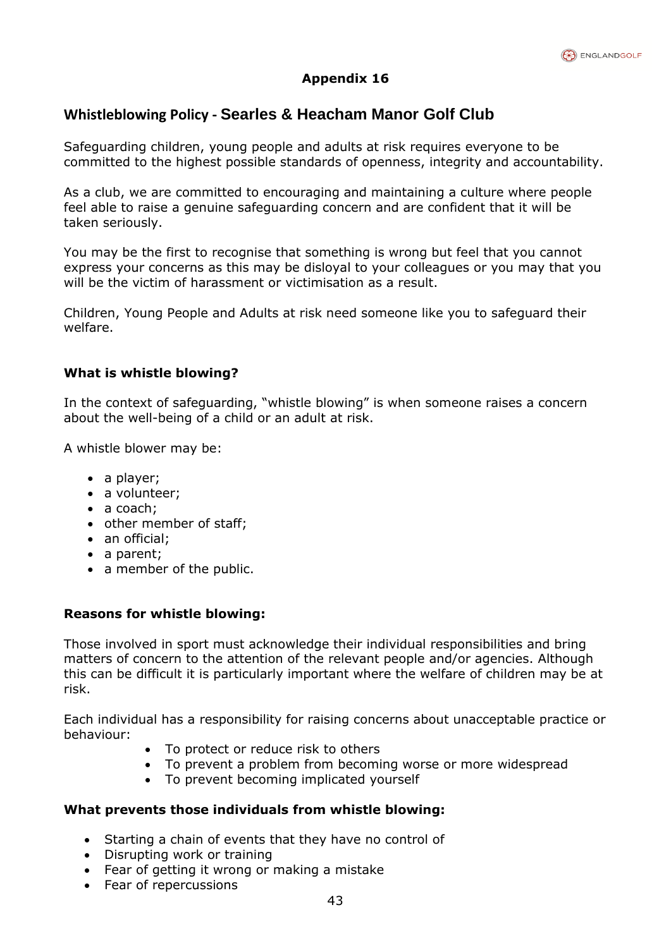

# **Whistleblowing Policy - Searles & Heacham Manor Golf Club**

Safeguarding children, young people and adults at risk requires everyone to be committed to the highest possible standards of openness, integrity and accountability.

As a club, we are committed to encouraging and maintaining a culture where people feel able to raise a genuine safeguarding concern and are confident that it will be taken seriously.

You may be the first to recognise that something is wrong but feel that you cannot express your concerns as this may be disloyal to your colleagues or you may that you will be the victim of harassment or victimisation as a result.

Children, Young People and Adults at risk need someone like you to safeguard their welfare.

# **What is whistle blowing?**

In the context of safeguarding, "whistle blowing" is when someone raises a concern about the well-being of a child or an adult at risk.

A whistle blower may be:

- a player;
- a volunteer;
- a coach:
- other member of staff;
- an official:
- a parent;
- a member of the public.

#### **Reasons for whistle blowing:**

Those involved in sport must acknowledge their individual responsibilities and bring matters of concern to the attention of the relevant people and/or agencies. Although this can be difficult it is particularly important where the welfare of children may be at risk.

Each individual has a responsibility for raising concerns about unacceptable practice or behaviour:

- To protect or reduce risk to others
- To prevent a problem from becoming worse or more widespread
- To prevent becoming implicated yourself

#### **What prevents those individuals from whistle blowing:**

- Starting a chain of events that they have no control of
- Disrupting work or training
- Fear of getting it wrong or making a mistake
- Fear of repercussions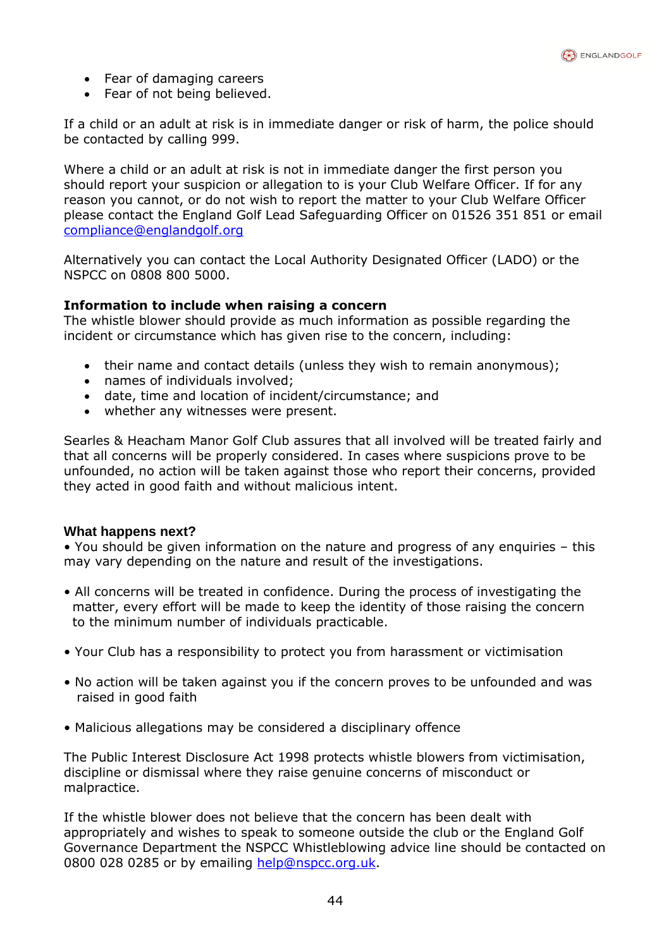- Fear of damaging careers
- Fear of not being believed.

If a child or an adult at risk is in immediate danger or risk of harm, the police should be contacted by calling 999.

Where a child or an adult at risk is not in immediate danger the first person you should report your suspicion or allegation to is your Club Welfare Officer. If for any reason you cannot, or do not wish to report the matter to your Club Welfare Officer please contact the England Golf Lead Safeguarding Officer on 01526 351 851 or email [compliance@englandgolf.org](mailto:compliance@englandgolf.org)

Alternatively you can contact the Local Authority Designated Officer (LADO) or the NSPCC on 0808 800 5000.

# **Information to include when raising a concern**

The whistle blower should provide as much information as possible regarding the incident or circumstance which has given rise to the concern, including:

- their name and contact details (unless they wish to remain anonymous);
- names of individuals involved;
- date, time and location of incident/circumstance; and
- whether any witnesses were present.

Searles & Heacham Manor Golf Club assures that all involved will be treated fairly and that all concerns will be properly considered. In cases where suspicions prove to be unfounded, no action will be taken against those who report their concerns, provided they acted in good faith and without malicious intent.

#### **What happens next?**

• You should be given information on the nature and progress of any enquiries – this may vary depending on the nature and result of the investigations.

- All concerns will be treated in confidence. During the process of investigating the matter, every effort will be made to keep the identity of those raising the concern to the minimum number of individuals practicable.
- Your Club has a responsibility to protect you from harassment or victimisation
- No action will be taken against you if the concern proves to be unfounded and was raised in good faith
- Malicious allegations may be considered a disciplinary offence

The Public Interest Disclosure Act 1998 protects whistle blowers from victimisation, discipline or dismissal where they raise genuine concerns of misconduct or malpractice.

If the whistle blower does not believe that the concern has been dealt with appropriately and wishes to speak to someone outside the club or the England Golf Governance Department the NSPCC Whistleblowing advice line should be contacted on 0800 028 0285 or by emailing [help@nspcc.org.uk.](mailto:help@nspcc.org.uk)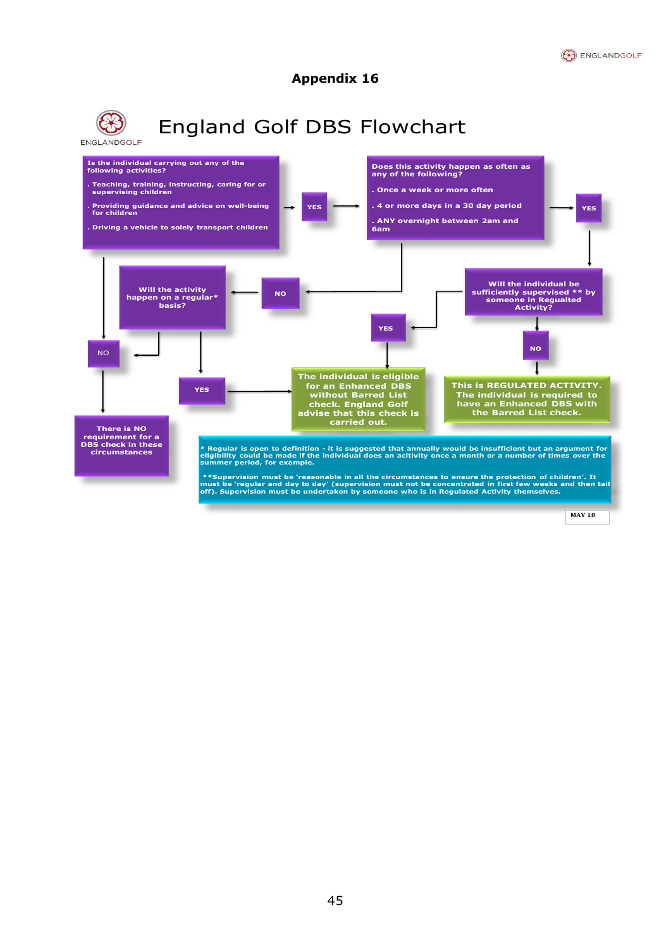



**MAY 18**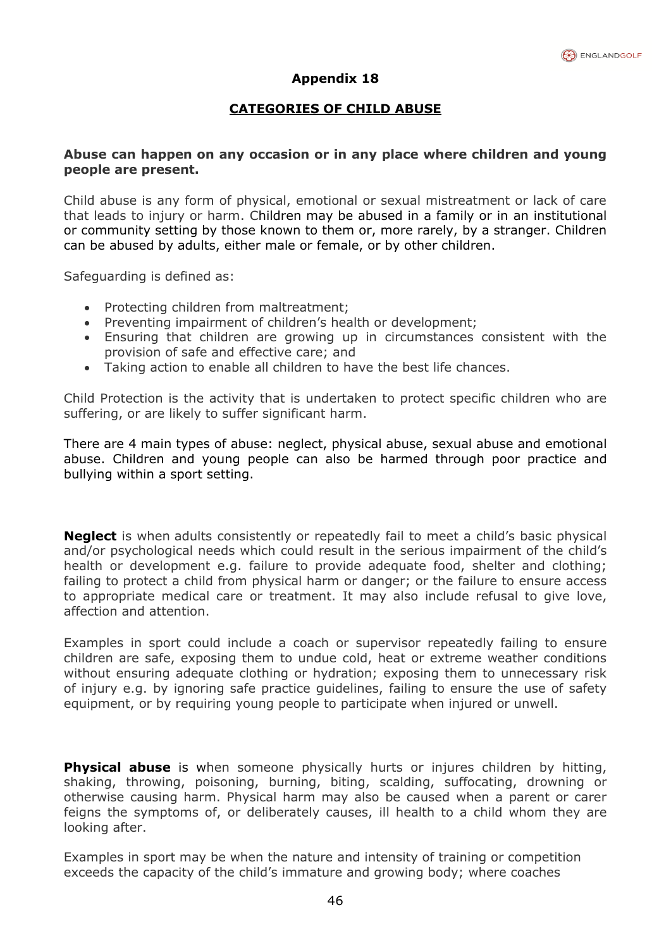# **CATEGORIES OF CHILD ABUSE**

#### **Abuse can happen on any occasion or in any place where children and young people are present.**

Child abuse is any form of physical, emotional or sexual mistreatment or lack of care that leads to injury or harm. Children may be abused in a family or in an institutional or community setting by those known to them or, more rarely, by a stranger. Children can be abused by adults, either male or female, or by other children.

Safeguarding is defined as:

- Protecting children from maltreatment;
- Preventing impairment of children's health or development;
- Ensuring that children are growing up in circumstances consistent with the provision of safe and effective care; and
- Taking action to enable all children to have the best life chances.

Child Protection is the activity that is undertaken to protect specific children who are suffering, or are likely to suffer significant harm.

There are 4 main types of abuse: neglect, physical abuse, sexual abuse and emotional abuse. Children and young people can also be harmed through poor practice and bullying within a sport setting.

**Neglect** is when adults consistently or repeatedly fail to meet a child's basic physical and/or psychological needs which could result in the serious impairment of the child's health or development e.g. failure to provide adequate food, shelter and clothing; failing to protect a child from physical harm or danger; or the failure to ensure access to appropriate medical care or treatment. It may also include refusal to give love, affection and attention.

Examples in sport could include a coach or supervisor repeatedly failing to ensure children are safe, exposing them to undue cold, heat or extreme weather conditions without ensuring adequate clothing or hydration; exposing them to unnecessary risk of injury e.g. by ignoring safe practice guidelines, failing to ensure the use of safety equipment, or by requiring young people to participate when injured or unwell.

**Physical abuse** is when someone physically hurts or injures children by hitting, shaking, throwing, poisoning, burning, biting, scalding, suffocating, drowning or otherwise causing harm. Physical harm may also be caused when a parent or carer feigns the symptoms of, or deliberately causes, ill health to a child whom they are looking after.

Examples in sport may be when the nature and intensity of training or competition exceeds the capacity of the child's immature and growing body; where coaches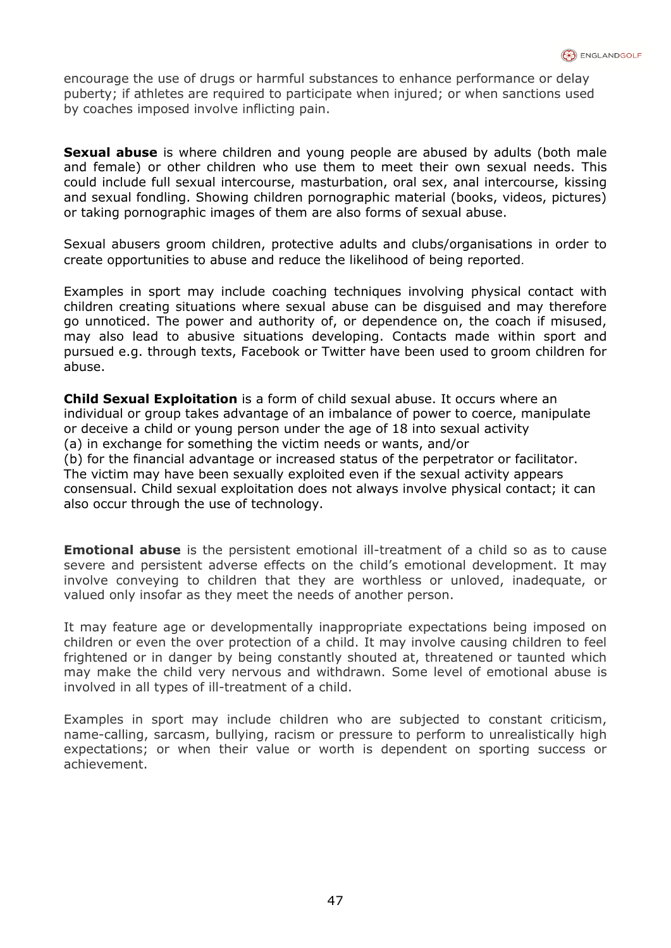encourage the use of drugs or harmful substances to enhance performance or delay puberty; if athletes are required to participate when injured; or when sanctions used by coaches imposed involve inflicting pain.

**Sexual abuse** is where children and young people are abused by adults (both male and female) or other children who use them to meet their own sexual needs. This could include full sexual intercourse, masturbation, oral sex, anal intercourse, kissing and sexual fondling. Showing children pornographic material (books, videos, pictures) or taking pornographic images of them are also forms of sexual abuse.

Sexual abusers groom children, protective adults and clubs/organisations in order to create opportunities to abuse and reduce the likelihood of being reported.

Examples in sport may include coaching techniques involving physical contact with children creating situations where sexual abuse can be disguised and may therefore go unnoticed. The power and authority of, or dependence on, the coach if misused, may also lead to abusive situations developing. Contacts made within sport and pursued e.g. through texts, Facebook or Twitter have been used to groom children for abuse.

**Child Sexual Exploitation** is a form of child sexual abuse. It occurs where an individual or group takes advantage of an imbalance of power to coerce, manipulate or deceive a child or young person under the age of 18 into sexual activity (a) in exchange for something the victim needs or wants, and/or (b) for the financial advantage or increased status of the perpetrator or facilitator. The victim may have been sexually exploited even if the sexual activity appears consensual. Child sexual exploitation does not always involve physical contact; it can also occur through the use of technology.

**Emotional abuse** is the persistent emotional ill-treatment of a child so as to cause severe and persistent adverse effects on the child's emotional development. It may involve conveying to children that they are worthless or unloved, inadequate, or valued only insofar as they meet the needs of another person.

It may feature age or developmentally inappropriate expectations being imposed on children or even the over protection of a child. It may involve causing children to feel frightened or in danger by being constantly shouted at, threatened or taunted which may make the child very nervous and withdrawn. Some level of emotional abuse is involved in all types of ill-treatment of a child.

Examples in sport may include children who are subjected to constant criticism, name-calling, sarcasm, bullying, racism or pressure to perform to unrealistically high expectations; or when their value or worth is dependent on sporting success or achievement.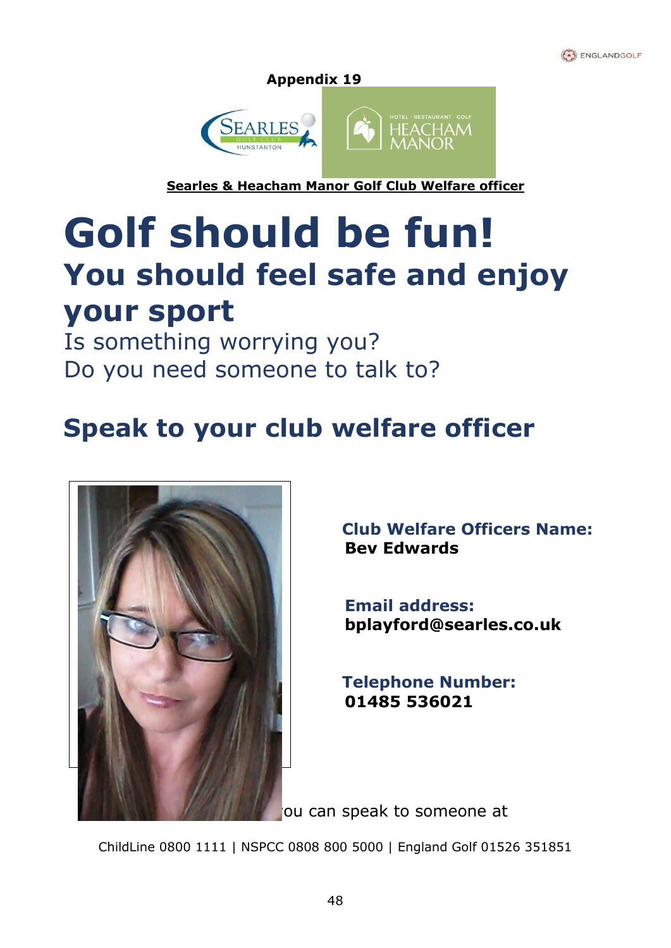



 $\mathbf{r}$ **Searles & Heacham Manor Golf Club Welfare officer**

# **Golf should be fun! You should feel safe and enjoy your sport**

Is something worrying you? Do you need someone to talk to?

# **Speak to your club welfare officer**



**Club Welfare Officers Name: Bev Edwards**

 **Email address: bplayford@searles.co.uk**

**Telephone Number: 01485 536021**

ou can speak to someone at

ChildLine 0800 1111 | NSPCC 0808 800 5000 | England Golf 01526 351851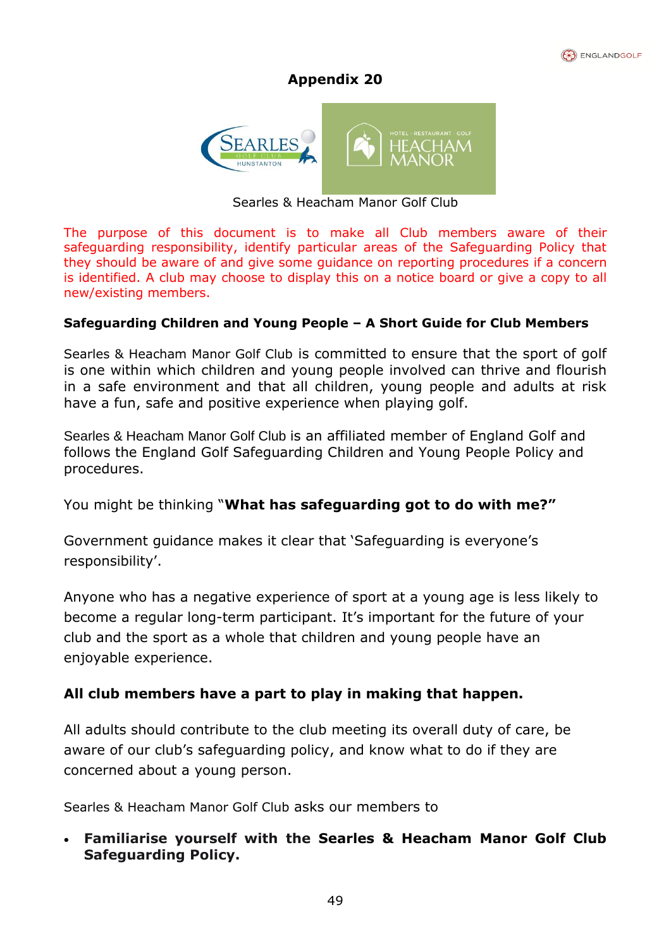

 $\mathbf{r}$ 

# **Appendix 20**



Searles & Heacham Manor Golf Club

The purpose of this document is to make all Club members aware of their safeguarding responsibility, identify particular areas of the Safeguarding Policy that they should be aware of and give some guidance on reporting procedures if a concern is identified. A club may choose to display this on a notice board or give a copy to all new/existing members.

# **Safeguarding Children and Young People – A Short Guide for Club Members**

Searles & Heacham Manor Golf Club is committed to ensure that the sport of golf is one within which children and young people involved can thrive and flourish in a safe environment and that all children, young people and adults at risk have a fun, safe and positive experience when playing golf.

Searles & Heacham Manor Golf Club is an affiliated member of England Golf and follows the England Golf Safeguarding Children and Young People Policy and procedures.

You might be thinking "**What has safeguarding got to do with me?"**

Government guidance makes it clear that 'Safeguarding is everyone's responsibility'.

Anyone who has a negative experience of sport at a young age is less likely to become a regular long-term participant. It's important for the future of your club and the sport as a whole that children and young people have an enjoyable experience.

# **All club members have a part to play in making that happen.**

All adults should contribute to the club meeting its overall duty of care, be aware of our club's safeguarding policy, and know what to do if they are concerned about a young person.

Searles & Heacham Manor Golf Club asks our members to

• **Familiarise yourself with the Searles & Heacham Manor Golf Club Safeguarding Policy.**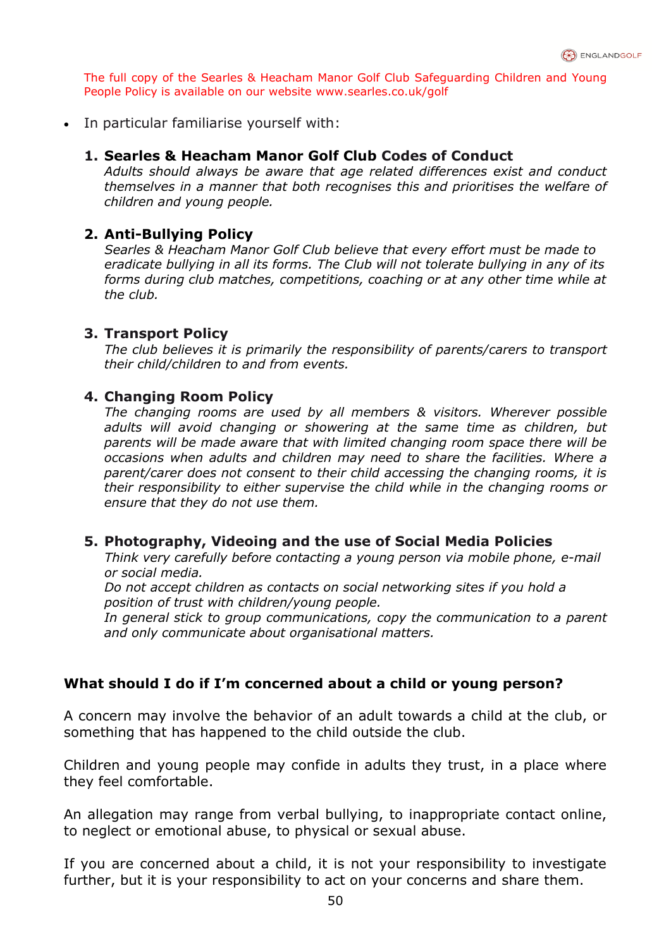The full copy of the Searles & Heacham Manor Golf Club Safeguarding Children and Young People Policy is available on our website www.searles.co.uk/golf

• In particular familiarise yourself with:

### **1. Searles & Heacham Manor Golf Club Codes of Conduct**

*Adults should always be aware that age related differences exist and conduct themselves in a manner that both recognises this and prioritises the welfare of children and young people.*

#### **2. Anti-Bullying Policy**

*Searles & Heacham Manor Golf Club believe that every effort must be made to eradicate bullying in all its forms. The Club will not tolerate bullying in any of its forms during club matches, competitions, coaching or at any other time while at the club.*

#### **3. Transport Policy**

*The club believes it is primarily the responsibility of parents/carers to transport their child/children to and from events.*

#### **4. Changing Room Policy**

*The changing rooms are used by all members & visitors. Wherever possible adults will avoid changing or showering at the same time as children, but parents will be made aware that with limited changing room space there will be occasions when adults and children may need to share the facilities. Where a parent/carer does not consent to their child accessing the changing rooms, it is their responsibility to either supervise the child while in the changing rooms or ensure that they do not use them.* 

# **5. Photography, Videoing and the use of Social Media Policies**

*Think very carefully before contacting a young person via mobile phone, e-mail or social media.*

*Do not accept children as contacts on social networking sites if you hold a position of trust with children/young people.*

*In general stick to group communications, copy the communication to a parent and only communicate about organisational matters.*

#### **What should I do if I'm concerned about a child or young person?**

A concern may involve the behavior of an adult towards a child at the club, or something that has happened to the child outside the club.

Children and young people may confide in adults they trust, in a place where they feel comfortable.

An allegation may range from verbal bullying, to inappropriate contact online, to neglect or emotional abuse, to physical or sexual abuse.

If you are concerned about a child, it is not your responsibility to investigate further, but it is your responsibility to act on your concerns and share them.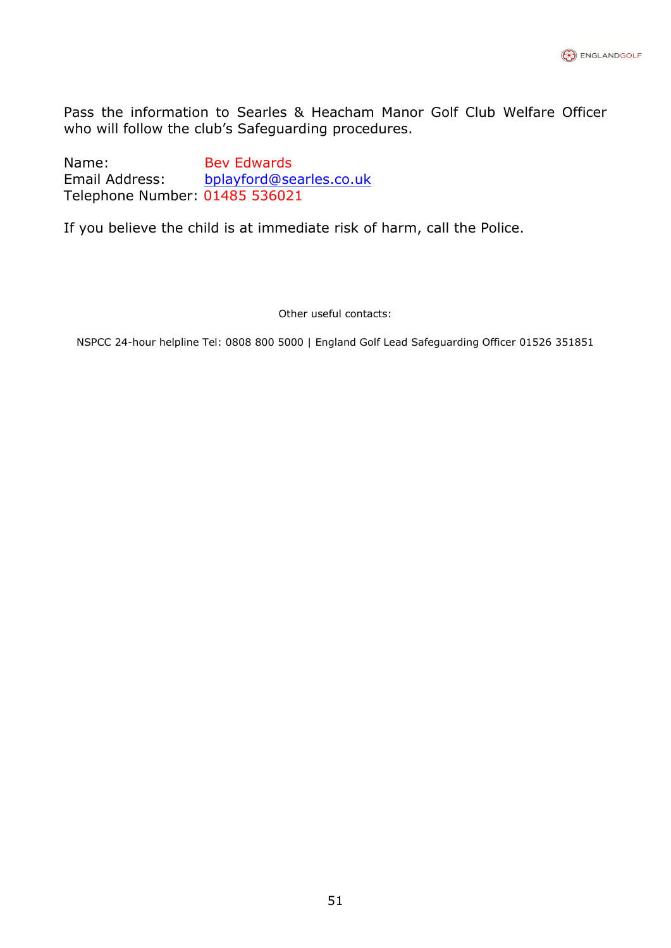

Pass the information to Searles & Heacham Manor Golf Club Welfare Officer who will follow the club's Safeguarding procedures.

Name: Bev Edwards Email Address: [bplayford@searles.co.uk](mailto:bplayford@searles.co.uk) Telephone Number: 01485 536021

If you believe the child is at immediate risk of harm, call the Police.

Other useful contacts:

NSPCC 24-hour helpline Tel: 0808 800 5000 | England Golf Lead Safeguarding Officer 01526 351851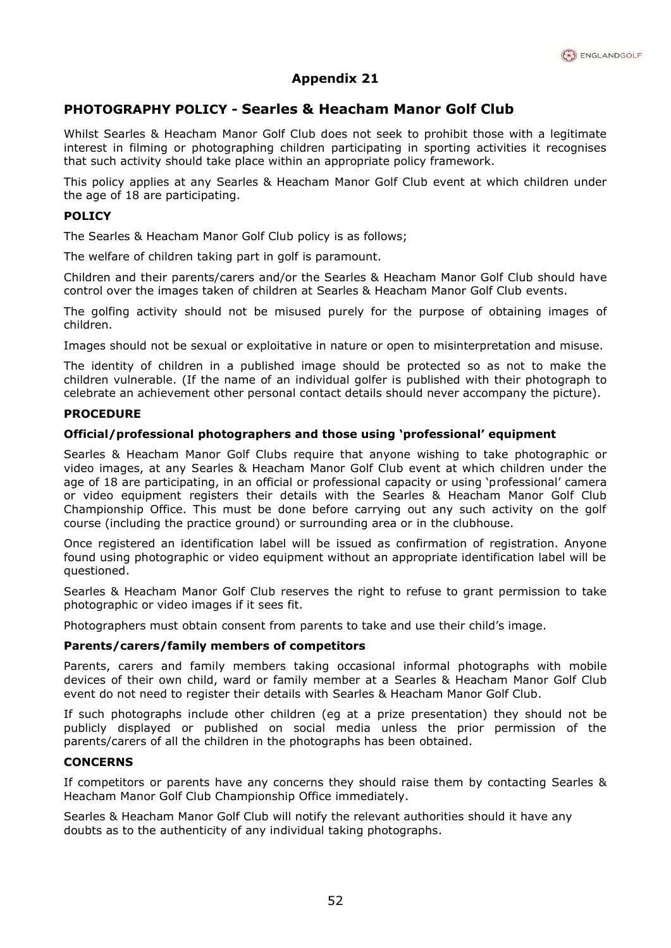

## **PHOTOGRAPHY POLICY - Searles & Heacham Manor Golf Club**

Whilst Searles & Heacham Manor Golf Club does not seek to prohibit those with a legitimate interest in filming or photographing children participating in sporting activities it recognises that such activity should take place within an appropriate policy framework.

This policy applies at any Searles & Heacham Manor Golf Club event at which children under the age of 18 are participating.

#### **POLICY**

The Searles & Heacham Manor Golf Club policy is as follows;

The welfare of children taking part in golf is paramount.

Children and their parents/carers and/or the Searles & Heacham Manor Golf Club should have control over the images taken of children at Searles & Heacham Manor Golf Club events.

The golfing activity should not be misused purely for the purpose of obtaining images of children.

Images should not be sexual or exploitative in nature or open to misinterpretation and misuse.

The identity of children in a published image should be protected so as not to make the children vulnerable. (If the name of an individual golfer is published with their photograph to celebrate an achievement other personal contact details should never accompany the picture).

#### **PROCEDURE**

#### **Official/professional photographers and those using 'professional' equipment**

Searles & Heacham Manor Golf Clubs require that anyone wishing to take photographic or video images, at any Searles & Heacham Manor Golf Club event at which children under the age of 18 are participating, in an official or professional capacity or using 'professional' camera or video equipment registers their details with the Searles & Heacham Manor Golf Club Championship Office. This must be done before carrying out any such activity on the golf course (including the practice ground) or surrounding area or in the clubhouse.

Once registered an identification label will be issued as confirmation of registration. Anyone found using photographic or video equipment without an appropriate identification label will be questioned.

Searles & Heacham Manor Golf Club reserves the right to refuse to grant permission to take photographic or video images if it sees fit.

Photographers must obtain consent from parents to take and use their child's image.

#### **Parents/carers/family members of competitors**

Parents, carers and family members taking occasional informal photographs with mobile devices of their own child, ward or family member at a Searles & Heacham Manor Golf Club event do not need to register their details with Searles & Heacham Manor Golf Club.

If such photographs include other children (eg at a prize presentation) they should not be publicly displayed or published on social media unless the prior permission of the parents/carers of all the children in the photographs has been obtained.

#### **CONCERNS**

If competitors or parents have any concerns they should raise them by contacting Searles & Heacham Manor Golf Club Championship Office immediately.

Searles & Heacham Manor Golf Club will notify the relevant authorities should it have any doubts as to the authenticity of any individual taking photographs.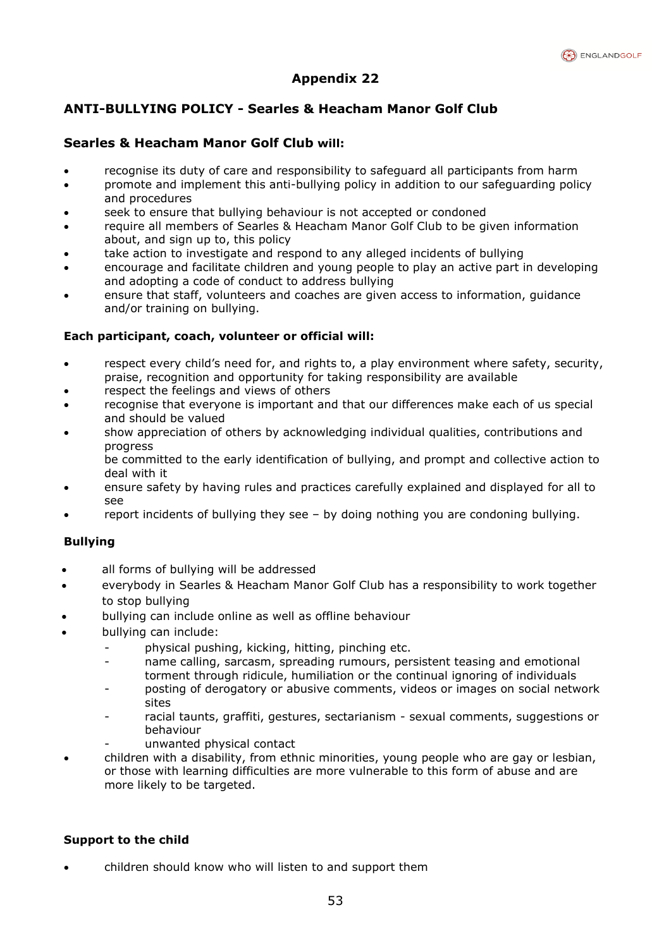

# **ANTI-BULLYING POLICY - Searles & Heacham Manor Golf Club**

## **Searles & Heacham Manor Golf Club will:**

- recognise its duty of care and responsibility to safeguard all participants from harm
- promote and implement this anti-bullying policy in addition to our safeguarding policy and procedures
- seek to ensure that bullying behaviour is not accepted or condoned
- require all members of Searles & Heacham Manor Golf Club to be given information about, and sign up to, this policy
- take action to investigate and respond to any alleged incidents of bullying
- encourage and facilitate children and young people to play an active part in developing and adopting a code of conduct to address bullying
- ensure that staff, volunteers and coaches are given access to information, guidance and/or training on bullying.

#### **Each participant, coach, volunteer or official will:**

- respect every child's need for, and rights to, a play environment where safety, security, praise, recognition and opportunity for taking responsibility are available
- respect the feelings and views of others
- recognise that everyone is important and that our differences make each of us special and should be valued
- show appreciation of others by acknowledging individual qualities, contributions and progress

be committed to the early identification of bullying, and prompt and collective action to deal with it

- ensure safety by having rules and practices carefully explained and displayed for all to see
- report incidents of bullying they see by doing nothing you are condoning bullying.

#### **Bullying**

- all forms of bullying will be addressed
- everybody in Searles & Heacham Manor Golf Club has a responsibility to work together to stop bullying
- bullying can include online as well as offline behaviour
- bullying can include:
	- physical pushing, kicking, hitting, pinching etc.
	- name calling, sarcasm, spreading rumours, persistent teasing and emotional torment through ridicule, humiliation or the continual ignoring of individuals
	- posting of derogatory or abusive comments, videos or images on social network sites
	- racial taunts, graffiti, gestures, sectarianism sexual comments, suggestions or behaviour
	- unwanted physical contact
- children with a disability, from ethnic minorities, young people who are gay or lesbian, or those with learning difficulties are more vulnerable to this form of abuse and are more likely to be targeted.

#### **Support to the child**

• children should know who will listen to and support them